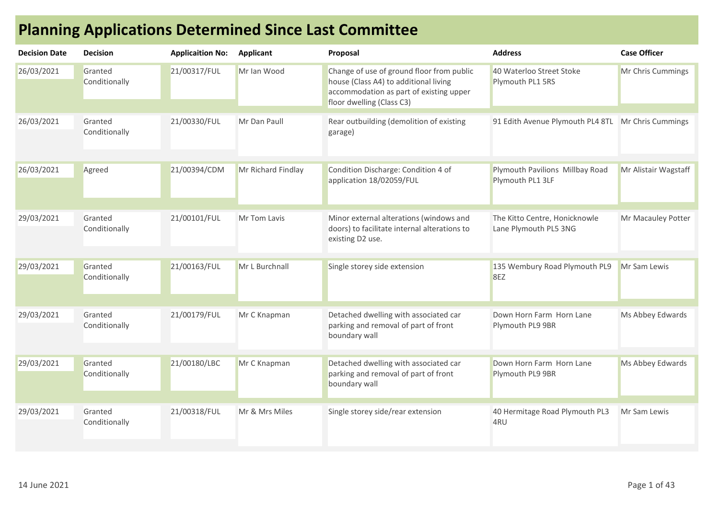| <b>Decision Date</b> | <b>Decision</b>          | <b>Applicaition No:</b> | <b>Applicant</b>   | Proposal                                                                                                                                                   | <b>Address</b>                                         | <b>Case Officer</b>  |
|----------------------|--------------------------|-------------------------|--------------------|------------------------------------------------------------------------------------------------------------------------------------------------------------|--------------------------------------------------------|----------------------|
| 26/03/2021           | Granted<br>Conditionally | 21/00317/FUL            | Mr Ian Wood        | Change of use of ground floor from public<br>house (Class A4) to additional living<br>accommodation as part of existing upper<br>floor dwelling (Class C3) | 40 Waterloo Street Stoke<br>Plymouth PL1 5RS           | Mr Chris Cummings    |
| 26/03/2021           | Granted<br>Conditionally | 21/00330/FUL            | Mr Dan Paull       | Rear outbuilding (demolition of existing<br>garage)                                                                                                        | 91 Edith Avenue Plymouth PL4 8TL Mr Chris Cummings     |                      |
| 26/03/2021           | Agreed                   | 21/00394/CDM            | Mr Richard Findlay | Condition Discharge: Condition 4 of<br>application 18/02059/FUL                                                                                            | Plymouth Pavilions Millbay Road<br>Plymouth PL1 3LF    | Mr Alistair Wagstaff |
| 29/03/2021           | Granted<br>Conditionally | 21/00101/FUL            | Mr Tom Lavis       | Minor external alterations (windows and<br>doors) to facilitate internal alterations to<br>existing D2 use.                                                | The Kitto Centre, Honicknowle<br>Lane Plymouth PL5 3NG | Mr Macauley Potter   |
| 29/03/2021           | Granted<br>Conditionally | 21/00163/FUL            | Mr L Burchnall     | Single storey side extension                                                                                                                               | 135 Wembury Road Plymouth PL9<br>8EZ                   | Mr Sam Lewis         |
| 29/03/2021           | Granted<br>Conditionally | 21/00179/FUL            | Mr C Knapman       | Detached dwelling with associated car<br>parking and removal of part of front<br>boundary wall                                                             | Down Horn Farm Horn Lane<br>Plymouth PL9 9BR           | Ms Abbey Edwards     |
| 29/03/2021           | Granted<br>Conditionally | 21/00180/LBC            | Mr C Knapman       | Detached dwelling with associated car<br>parking and removal of part of front<br>boundary wall                                                             | Down Horn Farm Horn Lane<br>Plymouth PL9 9BR           | Ms Abbey Edwards     |
| 29/03/2021           | Granted<br>Conditionally | 21/00318/FUL            | Mr & Mrs Miles     | Single storey side/rear extension                                                                                                                          | 40 Hermitage Road Plymouth PL3<br>4RU                  | Mr Sam Lewis         |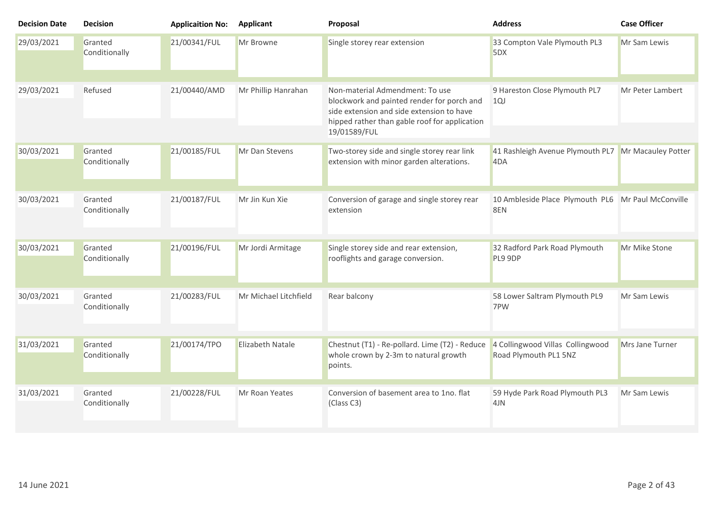| <b>Decision Date</b> | <b>Decision</b>          | <b>Applicaition No:</b> | <b>Applicant</b>        | Proposal                                                                                                                                                                    | <b>Address</b>                                             | <b>Case Officer</b> |
|----------------------|--------------------------|-------------------------|-------------------------|-----------------------------------------------------------------------------------------------------------------------------------------------------------------------------|------------------------------------------------------------|---------------------|
| 29/03/2021           | Granted<br>Conditionally | 21/00341/FUL            | Mr Browne               | Single storey rear extension                                                                                                                                                | 33 Compton Vale Plymouth PL3<br>5DX                        | Mr Sam Lewis        |
| 29/03/2021           | Refused                  | 21/00440/AMD            | Mr Phillip Hanrahan     | Non-material Admendment: To use<br>blockwork and painted render for porch and<br>side extension and side extension to have<br>hipped rather than gable roof for application | 9 Hareston Close Plymouth PL7<br>1QJ                       | Mr Peter Lambert    |
|                      |                          |                         |                         | 19/01589/FUL                                                                                                                                                                |                                                            |                     |
| 30/03/2021           | Granted<br>Conditionally | 21/00185/FUL            | Mr Dan Stevens          | Two-storey side and single storey rear link<br>extension with minor garden alterations.                                                                                     | 41 Rashleigh Avenue Plymouth PL7 Mr Macauley Potter<br>4DA |                     |
| 30/03/2021           | Granted<br>Conditionally | 21/00187/FUL            | Mr Jin Kun Xie          | Conversion of garage and single storey rear<br>extension                                                                                                                    | 10 Ambleside Place Plymouth PL6 Mr Paul McConville<br>8EN  |                     |
| 30/03/2021           | Granted<br>Conditionally | 21/00196/FUL            | Mr Jordi Armitage       | Single storey side and rear extension,<br>rooflights and garage conversion.                                                                                                 | 32 Radford Park Road Plymouth<br>PL9 9DP                   | Mr Mike Stone       |
| 30/03/2021           | Granted<br>Conditionally | 21/00283/FUL            | Mr Michael Litchfield   | Rear balcony                                                                                                                                                                | 58 Lower Saltram Plymouth PL9<br>7PW                       | Mr Sam Lewis        |
| 31/03/2021           | Granted<br>Conditionally | 21/00174/TPO            | <b>Elizabeth Natale</b> | Chestnut (T1) - Re-pollard. Lime (T2) - Reduce<br>whole crown by 2-3m to natural growth<br>points.                                                                          | 4 Collingwood Villas Collingwood<br>Road Plymouth PL1 5NZ  | Mrs Jane Turner     |
| 31/03/2021           | Granted                  | 21/00228/FUL            | Mr Roan Yeates          | Conversion of basement area to 1no. flat                                                                                                                                    | 59 Hyde Park Road Plymouth PL3                             | Mr Sam Lewis        |
|                      | Conditionally            |                         |                         | (Class C3)                                                                                                                                                                  | 4JN                                                        |                     |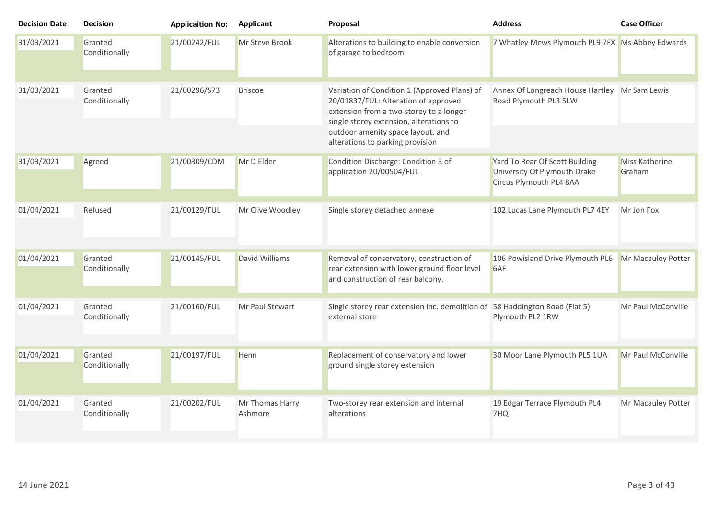| <b>Decision Date</b> | <b>Decision</b>          | <b>Applicaition No:</b> | Applicant                  | Proposal                                                                                                                                                                                                                                            | <b>Address</b>                                                                            | <b>Case Officer</b>             |
|----------------------|--------------------------|-------------------------|----------------------------|-----------------------------------------------------------------------------------------------------------------------------------------------------------------------------------------------------------------------------------------------------|-------------------------------------------------------------------------------------------|---------------------------------|
| 31/03/2021           | Granted<br>Conditionally | 21/00242/FUL            | Mr Steve Brook             | Alterations to building to enable conversion<br>of garage to bedroom                                                                                                                                                                                | 7 Whatley Mews Plymouth PL9 7FX Ms Abbey Edwards                                          |                                 |
| 31/03/2021           | Granted<br>Conditionally | 21/00296/S73            | <b>Briscoe</b>             | Variation of Condition 1 (Approved Plans) of<br>20/01837/FUL: Alteration of approved<br>extension from a two-storey to a longer<br>single storey extension, alterations to<br>outdoor amenity space layout, and<br>alterations to parking provision | Annex Of Longreach House Hartley Mr Sam Lewis<br>Road Plymouth PL3 5LW                    |                                 |
| 31/03/2021           | Agreed                   | 21/00309/CDM            | Mr D Elder                 | Condition Discharge: Condition 3 of<br>application 20/00504/FUL                                                                                                                                                                                     | Yard To Rear Of Scott Building<br>University Of Plymouth Drake<br>Circus Plymouth PL4 8AA | <b>Miss Katherine</b><br>Graham |
| 01/04/2021           | Refused                  | 21/00129/FUL            | Mr Clive Woodley           | Single storey detached annexe                                                                                                                                                                                                                       | 102 Lucas Lane Plymouth PL7 4EY                                                           | Mr Jon Fox                      |
| 01/04/2021           | Granted<br>Conditionally | 21/00145/FUL            | David Williams             | Removal of conservatory, construction of<br>rear extension with lower ground floor level<br>and construction of rear balcony.                                                                                                                       | 106 Powisland Drive Plymouth PL6<br>6AF                                                   | Mr Macauley Potter              |
| 01/04/2021           | Granted<br>Conditionally | 21/00160/FUL            | Mr Paul Stewart            | Single storey rear extension inc. demolition of 58 Haddington Road (Flat 5)<br>external store                                                                                                                                                       | Plymouth PL2 1RW                                                                          | Mr Paul McConville              |
| 01/04/2021           | Granted<br>Conditionally | 21/00197/FUL            | Henn                       | Replacement of conservatory and lower<br>ground single storey extension                                                                                                                                                                             | 30 Moor Lane Plymouth PL5 1UA                                                             | Mr Paul McConville              |
| 01/04/2021           | Granted<br>Conditionally | 21/00202/FUL            | Mr Thomas Harry<br>Ashmore | Two-storey rear extension and internal<br>alterations                                                                                                                                                                                               | 19 Edgar Terrace Plymouth PL4<br>7HQ                                                      | Mr Macauley Potter              |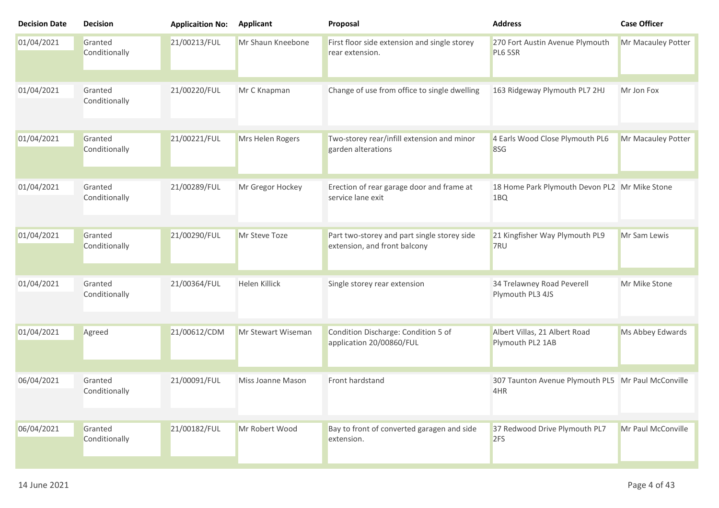| <b>Decision Date</b> | <b>Decision</b>          | <b>Applicaition No:</b> | <b>Applicant</b>   | Proposal                                                                    | <b>Address</b>                                            | <b>Case Officer</b> |
|----------------------|--------------------------|-------------------------|--------------------|-----------------------------------------------------------------------------|-----------------------------------------------------------|---------------------|
| 01/04/2021           | Granted<br>Conditionally | 21/00213/FUL            | Mr Shaun Kneebone  | First floor side extension and single storey<br>rear extension.             | 270 Fort Austin Avenue Plymouth<br>PL6 5SR                | Mr Macauley Potter  |
| 01/04/2021           | Granted<br>Conditionally | 21/00220/FUL            | Mr C Knapman       | Change of use from office to single dwelling                                | 163 Ridgeway Plymouth PL7 2HJ                             | Mr Jon Fox          |
| 01/04/2021           | Granted<br>Conditionally | 21/00221/FUL            | Mrs Helen Rogers   | Two-storey rear/infill extension and minor<br>garden alterations            | 4 Earls Wood Close Plymouth PL6<br>8SG                    | Mr Macauley Potter  |
| 01/04/2021           | Granted<br>Conditionally | 21/00289/FUL            | Mr Gregor Hockey   | Erection of rear garage door and frame at<br>service lane exit              | 18 Home Park Plymouth Devon PL2 Mr Mike Stone<br>1BQ      |                     |
| 01/04/2021           | Granted<br>Conditionally | 21/00290/FUL            | Mr Steve Toze      | Part two-storey and part single storey side<br>extension, and front balcony | 21 Kingfisher Way Plymouth PL9<br>7RU                     | Mr Sam Lewis        |
| 01/04/2021           | Granted<br>Conditionally | 21/00364/FUL            | Helen Killick      | Single storey rear extension                                                | 34 Trelawney Road Peverell<br>Plymouth PL3 4JS            | Mr Mike Stone       |
| 01/04/2021           | Agreed                   | 21/00612/CDM            | Mr Stewart Wiseman | Condition Discharge: Condition 5 of<br>application 20/00860/FUL             | Albert Villas, 21 Albert Road<br>Plymouth PL2 1AB         | Ms Abbey Edwards    |
| 06/04/2021           | Granted<br>Conditionally | 21/00091/FUL            | Miss Joanne Mason  | Front hardstand                                                             | 307 Taunton Avenue Plymouth PL5 Mr Paul McConville<br>4HR |                     |
| 06/04/2021           | Granted<br>Conditionally | 21/00182/FUL            | Mr Robert Wood     | Bay to front of converted garagen and side<br>extension.                    | 37 Redwood Drive Plymouth PL7<br>2FS                      | Mr Paul McConville  |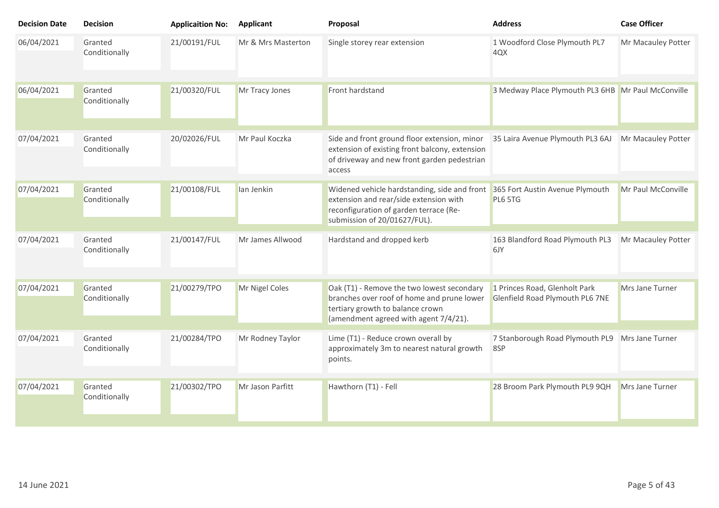| <b>Decision Date</b> | <b>Decision</b>          | <b>Applicaition No:</b> | <b>Applicant</b>   | Proposal                                                                                                                                                              | <b>Address</b>                                                   | <b>Case Officer</b> |
|----------------------|--------------------------|-------------------------|--------------------|-----------------------------------------------------------------------------------------------------------------------------------------------------------------------|------------------------------------------------------------------|---------------------|
| 06/04/2021           | Granted<br>Conditionally | 21/00191/FUL            | Mr & Mrs Masterton | Single storey rear extension                                                                                                                                          | 1 Woodford Close Plymouth PL7<br>4QX                             | Mr Macauley Potter  |
| 06/04/2021           | Granted<br>Conditionally | 21/00320/FUL            | Mr Tracy Jones     | Front hardstand                                                                                                                                                       | 3 Medway Place Plymouth PL3 6HB Mr Paul McConville               |                     |
| 07/04/2021           | Granted<br>Conditionally | 20/02026/FUL            | Mr Paul Koczka     | Side and front ground floor extension, minor<br>extension of existing front balcony, extension<br>of driveway and new front garden pedestrian<br>access               | 35 Laira Avenue Plymouth PL3 6AJ                                 | Mr Macauley Potter  |
| 07/04/2021           | Granted<br>Conditionally | 21/00108/FUL            | lan Jenkin         | Widened vehicle hardstanding, side and front<br>extension and rear/side extension with<br>reconfiguration of garden terrace (Re-<br>submission of 20/01627/FUL).      | 365 Fort Austin Avenue Plymouth<br>PL6 5TG                       | Mr Paul McConville  |
| 07/04/2021           | Granted<br>Conditionally | 21/00147/FUL            | Mr James Allwood   | Hardstand and dropped kerb                                                                                                                                            | 163 Blandford Road Plymouth PL3<br>6JY                           | Mr Macauley Potter  |
| 07/04/2021           | Granted<br>Conditionally | 21/00279/TPO            | Mr Nigel Coles     | Oak (T1) - Remove the two lowest secondary<br>branches over roof of home and prune lower<br>tertiary growth to balance crown<br>(amendment agreed with agent 7/4/21). | 1 Princes Road, Glenholt Park<br>Glenfield Road Plymouth PL6 7NE | Mrs Jane Turner     |
| 07/04/2021           | Granted<br>Conditionally | 21/00284/TPO            | Mr Rodney Taylor   | Lime (T1) - Reduce crown overall by<br>approximately 3m to nearest natural growth<br>points.                                                                          | 7 Stanborough Road Plymouth PL9<br>8SP                           | Mrs Jane Turner     |
| 07/04/2021           | Granted<br>Conditionally | 21/00302/TPO            | Mr Jason Parfitt   | Hawthorn (T1) - Fell                                                                                                                                                  | 28 Broom Park Plymouth PL9 9QH                                   | Mrs Jane Turner     |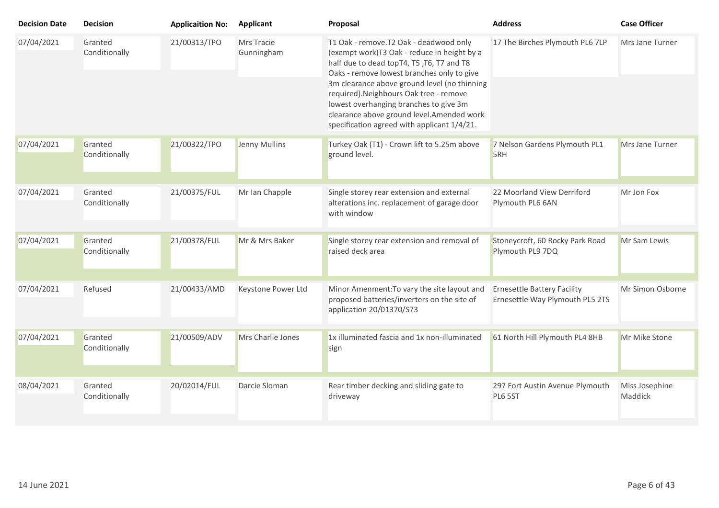| <b>Decision Date</b> | <b>Decision</b>          | <b>Applicaition No:</b> | <b>Applicant</b>         | Proposal                                                                                                                                                                                                                                                                                                                                                                                                          | <b>Address</b>                                                        | <b>Case Officer</b>       |
|----------------------|--------------------------|-------------------------|--------------------------|-------------------------------------------------------------------------------------------------------------------------------------------------------------------------------------------------------------------------------------------------------------------------------------------------------------------------------------------------------------------------------------------------------------------|-----------------------------------------------------------------------|---------------------------|
| 07/04/2021           | Granted<br>Conditionally | 21/00313/TPO            | Mrs Tracie<br>Gunningham | T1 Oak - remove.T2 Oak - deadwood only<br>(exempt work)T3 Oak - reduce in height by a<br>half due to dead topT4, T5, T6, T7 and T8<br>Oaks - remove lowest branches only to give<br>3m clearance above ground level (no thinning<br>required). Neighbours Oak tree - remove<br>lowest overhanging branches to give 3m<br>clearance above ground level.Amended work<br>specification agreed with applicant 1/4/21. | 17 The Birches Plymouth PL6 7LP                                       | Mrs Jane Turner           |
| 07/04/2021           | Granted<br>Conditionally | 21/00322/TPO            | Jenny Mullins            | Turkey Oak (T1) - Crown lift to 5.25m above<br>ground level.                                                                                                                                                                                                                                                                                                                                                      | 7 Nelson Gardens Plymouth PL1<br>5RH                                  | Mrs Jane Turner           |
| 07/04/2021           | Granted<br>Conditionally | 21/00375/FUL            | Mr Ian Chapple           | Single storey rear extension and external<br>alterations inc. replacement of garage door<br>with window                                                                                                                                                                                                                                                                                                           | 22 Moorland View Derriford<br>Plymouth PL6 6AN                        | Mr Jon Fox                |
| 07/04/2021           | Granted<br>Conditionally | 21/00378/FUL            | Mr & Mrs Baker           | Single storey rear extension and removal of<br>raised deck area                                                                                                                                                                                                                                                                                                                                                   | Stoneycroft, 60 Rocky Park Road<br>Plymouth PL9 7DQ                   | Mr Sam Lewis              |
| 07/04/2021           | Refused                  | 21/00433/AMD            | Keystone Power Ltd       | Minor Amenment: To vary the site layout and<br>proposed batteries/inverters on the site of<br>application 20/01370/S73                                                                                                                                                                                                                                                                                            | <b>Ernesettle Battery Facility</b><br>Ernesettle Way Plymouth PL5 2TS | Mr Simon Osborne          |
| 07/04/2021           | Granted<br>Conditionally | 21/00509/ADV            | Mrs Charlie Jones        | 1x illuminated fascia and 1x non-illuminated<br>sign                                                                                                                                                                                                                                                                                                                                                              | 61 North Hill Plymouth PL4 8HB                                        | Mr Mike Stone             |
| 08/04/2021           | Granted<br>Conditionally | 20/02014/FUL            | Darcie Sloman            | Rear timber decking and sliding gate to<br>driveway                                                                                                                                                                                                                                                                                                                                                               | 297 Fort Austin Avenue Plymouth<br>PL6 5ST                            | Miss Josephine<br>Maddick |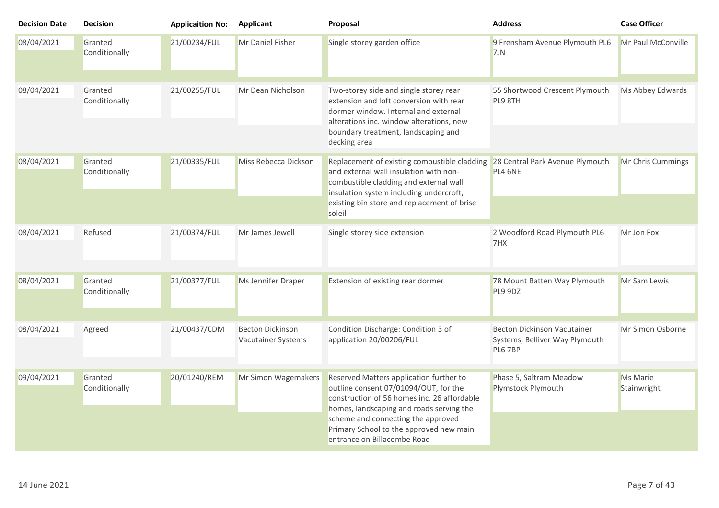| <b>Decision Date</b> | <b>Decision</b>          | <b>Applicaition No:</b> | Applicant                                     | Proposal                                                                                                                                                                                                                                                                                    | <b>Address</b>                                                                  | <b>Case Officer</b>     |
|----------------------|--------------------------|-------------------------|-----------------------------------------------|---------------------------------------------------------------------------------------------------------------------------------------------------------------------------------------------------------------------------------------------------------------------------------------------|---------------------------------------------------------------------------------|-------------------------|
| 08/04/2021           | Granted<br>Conditionally | 21/00234/FUL            | Mr Daniel Fisher                              | Single storey garden office                                                                                                                                                                                                                                                                 | 9 Frensham Avenue Plymouth PL6<br>7JN                                           | Mr Paul McConville      |
| 08/04/2021           | Granted<br>Conditionally | 21/00255/FUL            | Mr Dean Nicholson                             | Two-storey side and single storey rear<br>extension and loft conversion with rear<br>dormer window. Internal and external<br>alterations inc. window alterations, new<br>boundary treatment, landscaping and<br>decking area                                                                | 55 Shortwood Crescent Plymouth<br>PL9 8TH                                       | Ms Abbey Edwards        |
| 08/04/2021           | Granted<br>Conditionally | 21/00335/FUL            | Miss Rebecca Dickson                          | Replacement of existing combustible cladding<br>and external wall insulation with non-<br>combustible cladding and external wall<br>insulation system including undercroft,<br>existing bin store and replacement of brise<br>soleil                                                        | 28 Central Park Avenue Plymouth<br>PL4 6NE                                      | Mr Chris Cummings       |
| 08/04/2021           | Refused                  | 21/00374/FUL            | Mr James Jewell                               | Single storey side extension                                                                                                                                                                                                                                                                | 2 Woodford Road Plymouth PL6<br>7HX                                             | Mr Jon Fox              |
| 08/04/2021           | Granted<br>Conditionally | 21/00377/FUL            | Ms Jennifer Draper                            | Extension of existing rear dormer                                                                                                                                                                                                                                                           | 78 Mount Batten Way Plymouth<br>PL9 9DZ                                         | Mr Sam Lewis            |
| 08/04/2021           | Agreed                   | 21/00437/CDM            | <b>Becton Dickinson</b><br>Vacutainer Systems | Condition Discharge: Condition 3 of<br>application 20/00206/FUL                                                                                                                                                                                                                             | <b>Becton Dickinson Vacutainer</b><br>Systems, Belliver Way Plymouth<br>PL6 7BP | Mr Simon Osborne        |
| 09/04/2021           | Granted<br>Conditionally | 20/01240/REM            | Mr Simon Wagemakers                           | Reserved Matters application further to<br>outline consent 07/01094/OUT, for the<br>construction of 56 homes inc. 26 affordable<br>homes, landscaping and roads serving the<br>scheme and connecting the approved<br>Primary School to the approved new main<br>entrance on Billacombe Road | Phase 5, Saltram Meadow<br>Plymstock Plymouth                                   | Ms Marie<br>Stainwright |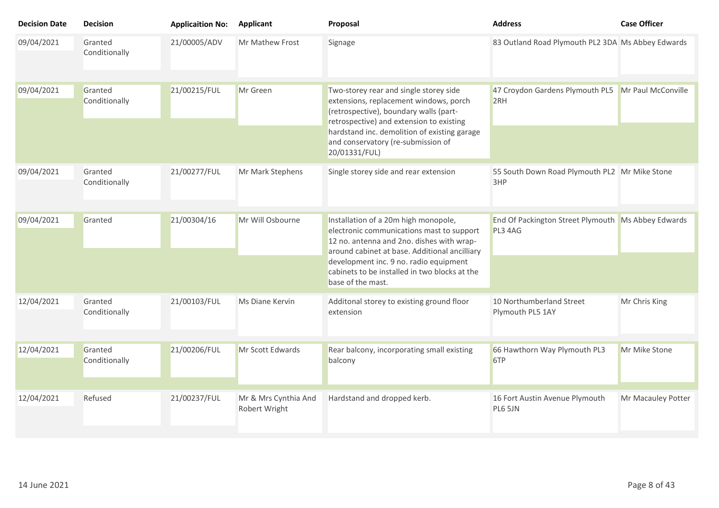| <b>Decision Date</b> | <b>Decision</b>          | <b>Applicaition No:</b> | <b>Applicant</b>                      | Proposal                                                                                                                                                                                                                                                                                        | <b>Address</b>                                                | <b>Case Officer</b> |
|----------------------|--------------------------|-------------------------|---------------------------------------|-------------------------------------------------------------------------------------------------------------------------------------------------------------------------------------------------------------------------------------------------------------------------------------------------|---------------------------------------------------------------|---------------------|
| 09/04/2021           | Granted<br>Conditionally | 21/00005/ADV            | Mr Mathew Frost                       | Signage                                                                                                                                                                                                                                                                                         | 83 Outland Road Plymouth PL2 3DA Ms Abbey Edwards             |                     |
| 09/04/2021           | Granted<br>Conditionally | 21/00215/FUL            | Mr Green                              | Two-storey rear and single storey side<br>extensions, replacement windows, porch<br>(retrospective), boundary walls (part-<br>retrospective) and extension to existing<br>hardstand inc. demolition of existing garage<br>and conservatory (re-submission of<br>20/01331/FUL)                   | 47 Croydon Gardens Plymouth PL5<br>2RH                        | Mr Paul McConville  |
| 09/04/2021           | Granted<br>Conditionally | 21/00277/FUL            | Mr Mark Stephens                      | Single storey side and rear extension                                                                                                                                                                                                                                                           | 55 South Down Road Plymouth PL2 Mr Mike Stone<br>3HP          |                     |
| 09/04/2021           | Granted                  | 21/00304/16             | Mr Will Osbourne                      | Installation of a 20m high monopole,<br>electronic communications mast to support<br>12 no. antenna and 2no. dishes with wrap-<br>around cabinet at base. Additional ancilliary<br>development inc. 9 no. radio equipment<br>cabinets to be installed in two blocks at the<br>base of the mast. | End Of Packington Street Plymouth Ms Abbey Edwards<br>PL3 4AG |                     |
| 12/04/2021           | Granted<br>Conditionally | 21/00103/FUL            | Ms Diane Kervin                       | Additonal storey to existing ground floor<br>extension                                                                                                                                                                                                                                          | 10 Northumberland Street<br>Plymouth PL5 1AY                  | Mr Chris King       |
| 12/04/2021           | Granted<br>Conditionally | 21/00206/FUL            | Mr Scott Edwards                      | Rear balcony, incorporating small existing<br>balcony                                                                                                                                                                                                                                           | 66 Hawthorn Way Plymouth PL3<br>6TP                           | Mr Mike Stone       |
| 12/04/2021           | Refused                  | 21/00237/FUL            | Mr & Mrs Cynthia And<br>Robert Wright | Hardstand and dropped kerb.                                                                                                                                                                                                                                                                     | 16 Fort Austin Avenue Plymouth<br>PL6 5JN                     | Mr Macauley Potter  |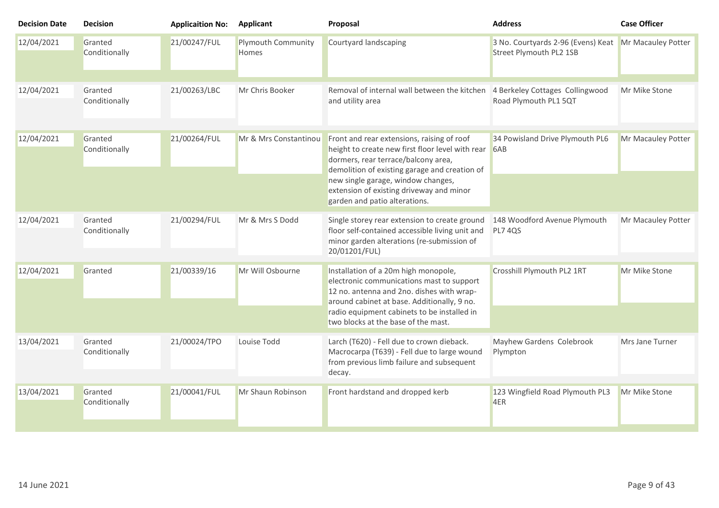| <b>Decision Date</b> | <b>Decision</b>          | <b>Applicaition No:</b> | Applicant                   | Proposal                                                                                                                                                                                                                                                                                                  | <b>Address</b>                                                | <b>Case Officer</b> |
|----------------------|--------------------------|-------------------------|-----------------------------|-----------------------------------------------------------------------------------------------------------------------------------------------------------------------------------------------------------------------------------------------------------------------------------------------------------|---------------------------------------------------------------|---------------------|
| 12/04/2021           | Granted<br>Conditionally | 21/00247/FUL            | Plymouth Community<br>Homes | Courtyard landscaping                                                                                                                                                                                                                                                                                     | 3 No. Courtyards 2-96 (Evens) Keat<br>Street Plymouth PL2 1SB | Mr Macauley Potter  |
| 12/04/2021           | Granted<br>Conditionally | 21/00263/LBC            | Mr Chris Booker             | Removal of internal wall between the kitchen<br>and utility area                                                                                                                                                                                                                                          | 4 Berkeley Cottages Collingwood<br>Road Plymouth PL1 5QT      | Mr Mike Stone       |
| 12/04/2021           | Granted<br>Conditionally | 21/00264/FUL            | Mr & Mrs Constantinou       | Front and rear extensions, raising of roof<br>height to create new first floor level with rear<br>dormers, rear terrace/balcony area,<br>demolition of existing garage and creation of<br>new single garage, window changes,<br>extension of existing driveway and minor<br>garden and patio alterations. | 34 Powisland Drive Plymouth PL6<br>6AB                        | Mr Macauley Potter  |
| 12/04/2021           | Granted<br>Conditionally | 21/00294/FUL            | Mr & Mrs S Dodd             | Single storey rear extension to create ground<br>floor self-contained accessible living unit and<br>minor garden alterations (re-submission of<br>20/01201/FUL)                                                                                                                                           | 148 Woodford Avenue Plymouth<br><b>PL7 4QS</b>                | Mr Macauley Potter  |
| 12/04/2021           | Granted                  | 21/00339/16             | Mr Will Osbourne            | Installation of a 20m high monopole,<br>electronic communications mast to support<br>12 no. antenna and 2no. dishes with wrap-<br>around cabinet at base. Additionally, 9 no.<br>radio equipment cabinets to be installed in<br>two blocks at the base of the mast.                                       | Crosshill Plymouth PL2 1RT                                    | Mr Mike Stone       |
| 13/04/2021           | Granted<br>Conditionally | 21/00024/TPO            | Louise Todd                 | Larch (T620) - Fell due to crown dieback.<br>Macrocarpa (T639) - Fell due to large wound<br>from previous limb failure and subsequent<br>decay.                                                                                                                                                           | Mayhew Gardens Colebrook<br>Plympton                          | Mrs Jane Turner     |
| 13/04/2021           | Granted<br>Conditionally | 21/00041/FUL            | Mr Shaun Robinson           | Front hardstand and dropped kerb                                                                                                                                                                                                                                                                          | 123 Wingfield Road Plymouth PL3<br>4ER                        | Mr Mike Stone       |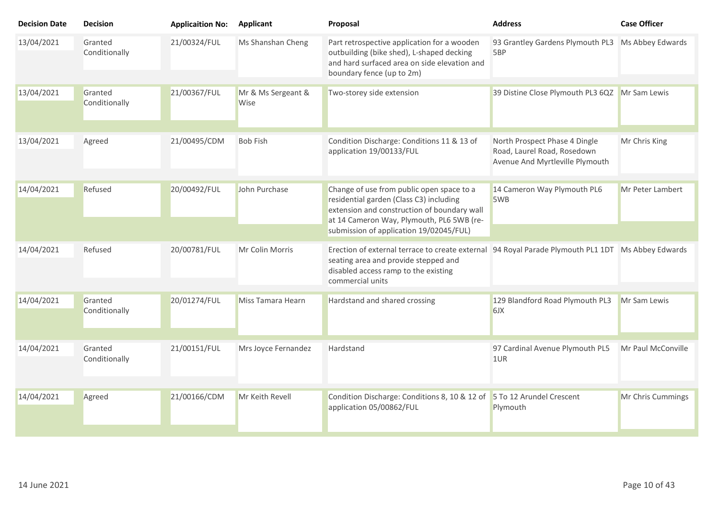| <b>Decision Date</b> | <b>Decision</b>          | <b>Applicaition No:</b> | <b>Applicant</b>           | Proposal                                                                                                                                                                                              | <b>Address</b>                                                                                  | <b>Case Officer</b> |
|----------------------|--------------------------|-------------------------|----------------------------|-------------------------------------------------------------------------------------------------------------------------------------------------------------------------------------------------------|-------------------------------------------------------------------------------------------------|---------------------|
| 13/04/2021           | Granted<br>Conditionally | 21/00324/FUL            | Ms Shanshan Cheng          | Part retrospective application for a wooden<br>outbuilding (bike shed), L-shaped decking<br>and hard surfaced area on side elevation and<br>boundary fence (up to 2m)                                 | 93 Grantley Gardens Plymouth PL3<br>5BP                                                         | Ms Abbey Edwards    |
| 13/04/2021           | Granted<br>Conditionally | 21/00367/FUL            | Mr & Ms Sergeant &<br>Wise | Two-storey side extension                                                                                                                                                                             | 39 Distine Close Plymouth PL3 6QZ                                                               | Mr Sam Lewis        |
| 13/04/2021           | Agreed                   | 21/00495/CDM            | <b>Bob Fish</b>            | Condition Discharge: Conditions 11 & 13 of<br>application 19/00133/FUL                                                                                                                                | North Prospect Phase 4 Dingle<br>Road, Laurel Road, Rosedown<br>Avenue And Myrtleville Plymouth | Mr Chris King       |
| 14/04/2021           | Refused                  | 20/00492/FUL            | John Purchase              | Change of use from public open space to a<br>residential garden (Class C3) including<br>extension and construction of boundary wall<br>at 14 Cameron Way, Plymouth, PL6 5WB (re-                      | 14 Cameron Way Plymouth PL6<br>5WB                                                              | Mr Peter Lambert    |
|                      |                          |                         |                            | submission of application 19/02045/FUL)                                                                                                                                                               |                                                                                                 |                     |
| 14/04/2021           | Refused                  | 20/00781/FUL            | Mr Colin Morris            | Erection of external terrace to create external 94 Royal Parade Plymouth PL1 1DT Ms Abbey Edwards<br>seating area and provide stepped and<br>disabled access ramp to the existing<br>commercial units |                                                                                                 |                     |
|                      |                          |                         |                            |                                                                                                                                                                                                       |                                                                                                 |                     |
| 14/04/2021           | Granted<br>Conditionally | 20/01274/FUL            | Miss Tamara Hearn          | Hardstand and shared crossing                                                                                                                                                                         | 129 Blandford Road Plymouth PL3<br>6JX                                                          | Mr Sam Lewis        |
|                      |                          |                         |                            |                                                                                                                                                                                                       |                                                                                                 |                     |
| 14/04/2021           | Granted<br>Conditionally | 21/00151/FUL            | Mrs Joyce Fernandez        | Hardstand                                                                                                                                                                                             | 97 Cardinal Avenue Plymouth PL5<br>1UR                                                          | Mr Paul McConville  |
| 14/04/2021           | Agreed                   | 21/00166/CDM            | Mr Keith Revell            | Condition Discharge: Conditions 8, 10 & 12 of                                                                                                                                                         | 5 To 12 Arundel Crescent                                                                        | Mr Chris Cummings   |
|                      |                          |                         |                            | application 05/00862/FUL                                                                                                                                                                              | Plymouth                                                                                        |                     |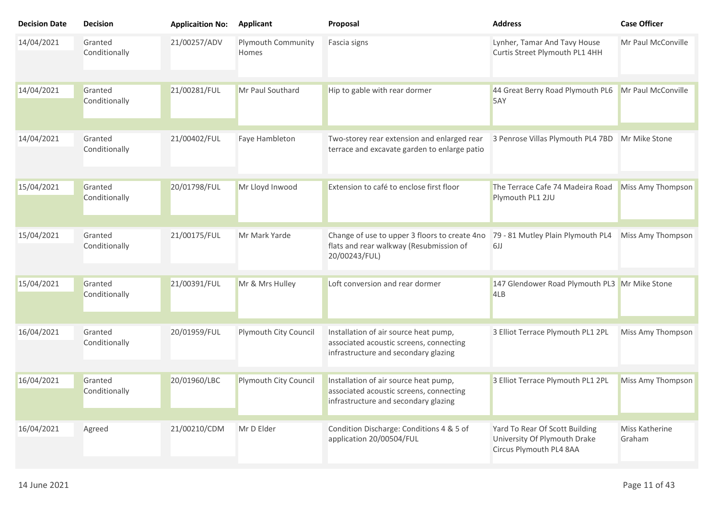| <b>Decision Date</b> | <b>Decision</b>          | <b>Applicaition No:</b> | <b>Applicant</b>            | Proposal                                                                                                                 | <b>Address</b>                                                                            | <b>Case Officer</b>      |
|----------------------|--------------------------|-------------------------|-----------------------------|--------------------------------------------------------------------------------------------------------------------------|-------------------------------------------------------------------------------------------|--------------------------|
| 14/04/2021           | Granted<br>Conditionally | 21/00257/ADV            | Plymouth Community<br>Homes | Fascia signs                                                                                                             | Lynher, Tamar And Tavy House<br>Curtis Street Plymouth PL1 4HH                            | Mr Paul McConville       |
| 14/04/2021           | Granted<br>Conditionally | 21/00281/FUL            | Mr Paul Southard            | Hip to gable with rear dormer                                                                                            | 44 Great Berry Road Plymouth PL6<br>5AY                                                   | Mr Paul McConville       |
| 14/04/2021           | Granted<br>Conditionally | 21/00402/FUL            | Faye Hambleton              | Two-storey rear extension and enlarged rear<br>terrace and excavate garden to enlarge patio                              | 3 Penrose Villas Plymouth PL4 7BD Mr Mike Stone                                           |                          |
| 15/04/2021           | Granted<br>Conditionally | 20/01798/FUL            | Mr Lloyd Inwood             | Extension to café to enclose first floor                                                                                 | The Terrace Cafe 74 Madeira Road<br>Plymouth PL1 2JU                                      | <b>Miss Amy Thompson</b> |
| 15/04/2021           | Granted<br>Conditionally | 21/00175/FUL            | Mr Mark Yarde               | Change of use to upper 3 floors to create 4no<br>flats and rear walkway (Resubmission of<br>20/00243/FUL)                | 79 - 81 Mutley Plain Plymouth PL4<br>6JJ                                                  | Miss Amy Thompson        |
| 15/04/2021           | Granted<br>Conditionally | 21/00391/FUL            | Mr & Mrs Hulley             | Loft conversion and rear dormer                                                                                          | 147 Glendower Road Plymouth PL3 Mr Mike Stone<br>4LB                                      |                          |
| 16/04/2021           | Granted<br>Conditionally | 20/01959/FUL            | Plymouth City Council       | Installation of air source heat pump,<br>associated acoustic screens, connecting<br>infrastructure and secondary glazing | 3 Elliot Terrace Plymouth PL1 2PL                                                         | Miss Amy Thompson        |
| 16/04/2021           | Granted<br>Conditionally | 20/01960/LBC            | Plymouth City Council       | Installation of air source heat pump,<br>associated acoustic screens, connecting<br>infrastructure and secondary glazing | 3 Elliot Terrace Plymouth PL1 2PL                                                         | Miss Amy Thompson        |
| 16/04/2021           | Agreed                   | 21/00210/CDM            | Mr D Elder                  | Condition Discharge: Conditions 4 & 5 of<br>application 20/00504/FUL                                                     | Yard To Rear Of Scott Building<br>University Of Plymouth Drake<br>Circus Plymouth PL4 8AA | Miss Katherine<br>Graham |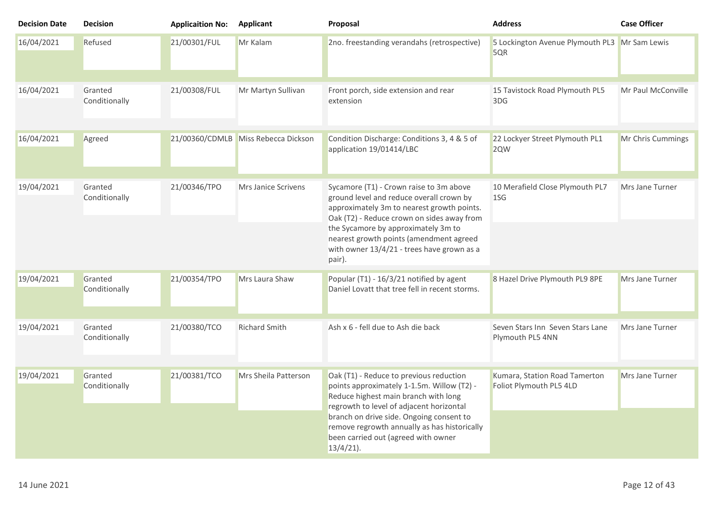| <b>Decision Date</b> | <b>Decision</b>          | <b>Applicaition No:</b> | <b>Applicant</b>                    | Proposal                                                                                                                                                                                                                                                                                                                     | <b>Address</b>                                           | <b>Case Officer</b> |
|----------------------|--------------------------|-------------------------|-------------------------------------|------------------------------------------------------------------------------------------------------------------------------------------------------------------------------------------------------------------------------------------------------------------------------------------------------------------------------|----------------------------------------------------------|---------------------|
| 16/04/2021           | Refused                  | 21/00301/FUL            | Mr Kalam                            | 2no. freestanding verandahs (retrospective)                                                                                                                                                                                                                                                                                  | 5 Lockington Avenue Plymouth PL3 Mr Sam Lewis<br>5QR     |                     |
| 16/04/2021           | Granted<br>Conditionally | 21/00308/FUL            | Mr Martyn Sullivan                  | Front porch, side extension and rear<br>extension                                                                                                                                                                                                                                                                            | 15 Tavistock Road Plymouth PL5<br>3DG                    | Mr Paul McConville  |
| 16/04/2021           | Agreed                   |                         | 21/00360/CDMLB Miss Rebecca Dickson | Condition Discharge: Conditions 3, 4 & 5 of<br>application 19/01414/LBC                                                                                                                                                                                                                                                      | 22 Lockyer Street Plymouth PL1<br>2QW                    | Mr Chris Cummings   |
| 19/04/2021           | Granted<br>Conditionally | 21/00346/TPO            | Mrs Janice Scrivens                 | Sycamore (T1) - Crown raise to 3m above<br>ground level and reduce overall crown by<br>approximately 3m to nearest growth points.<br>Oak (T2) - Reduce crown on sides away from<br>the Sycamore by approximately 3m to<br>nearest growth points (amendment agreed<br>with owner 13/4/21 - trees have grown as a<br>pair).    | 10 Merafield Close Plymouth PL7<br>1SG                   | Mrs Jane Turner     |
| 19/04/2021           | Granted<br>Conditionally | 21/00354/TPO            | Mrs Laura Shaw                      | Popular (T1) - 16/3/21 notified by agent<br>Daniel Lovatt that tree fell in recent storms.                                                                                                                                                                                                                                   | 8 Hazel Drive Plymouth PL9 8PE                           | Mrs Jane Turner     |
| 19/04/2021           | Granted<br>Conditionally | 21/00380/TCO            | <b>Richard Smith</b>                | Ash x 6 - fell due to Ash die back                                                                                                                                                                                                                                                                                           | Seven Stars Inn Seven Stars Lane<br>Plymouth PL5 4NN     | Mrs Jane Turner     |
| 19/04/2021           | Granted<br>Conditionally | 21/00381/TCO            | Mrs Sheila Patterson                | Oak (T1) - Reduce to previous reduction<br>points approximately 1-1.5m. Willow (T2) -<br>Reduce highest main branch with long<br>regrowth to level of adjacent horizontal<br>branch on drive side. Ongoing consent to<br>remove regrowth annually as has historically<br>been carried out (agreed with owner<br>$13/4/21$ ). | Kumara, Station Road Tamerton<br>Foliot Plymouth PL5 4LD | Mrs Jane Turner     |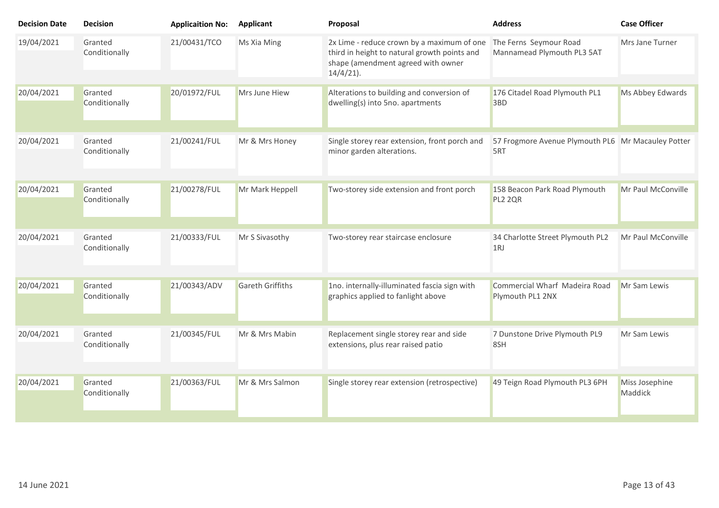| <b>Decision Date</b> | <b>Decision</b>          | <b>Applicaition No:</b> | <b>Applicant</b>        | Proposal                                                                                                                                         | <b>Address</b>                                            | <b>Case Officer</b>       |
|----------------------|--------------------------|-------------------------|-------------------------|--------------------------------------------------------------------------------------------------------------------------------------------------|-----------------------------------------------------------|---------------------------|
| 19/04/2021           | Granted<br>Conditionally | 21/00431/TCO            | Ms Xia Ming             | 2x Lime - reduce crown by a maximum of one<br>third in height to natural growth points and<br>shape (amendment agreed with owner<br>$14/4/21$ ). | The Ferns Seymour Road<br>Mannamead Plymouth PL3 5AT      | Mrs Jane Turner           |
| 20/04/2021           | Granted<br>Conditionally | 20/01972/FUL            | Mrs June Hiew           | Alterations to building and conversion of<br>dwelling(s) into 5no. apartments                                                                    | 176 Citadel Road Plymouth PL1<br>3BD                      | Ms Abbey Edwards          |
| 20/04/2021           | Granted<br>Conditionally | 21/00241/FUL            | Mr & Mrs Honey          | Single storey rear extension, front porch and<br>minor garden alterations.                                                                       | 57 Frogmore Avenue Plymouth PL6 Mr Macauley Potter<br>5RT |                           |
| 20/04/2021           | Granted<br>Conditionally | 21/00278/FUL            | Mr Mark Heppell         | Two-storey side extension and front porch                                                                                                        | 158 Beacon Park Road Plymouth<br>PL2 2QR                  | Mr Paul McConville        |
| 20/04/2021           | Granted<br>Conditionally | 21/00333/FUL            | Mr S Sivasothy          | Two-storey rear staircase enclosure                                                                                                              | 34 Charlotte Street Plymouth PL2<br>1RJ                   | Mr Paul McConville        |
| 20/04/2021           | Granted<br>Conditionally | 21/00343/ADV            | <b>Gareth Griffiths</b> | 1no. internally-illuminated fascia sign with<br>graphics applied to fanlight above                                                               | Commercial Wharf Madeira Road<br>Plymouth PL1 2NX         | Mr Sam Lewis              |
| 20/04/2021           | Granted<br>Conditionally | 21/00345/FUL            | Mr & Mrs Mabin          | Replacement single storey rear and side<br>extensions, plus rear raised patio                                                                    | 7 Dunstone Drive Plymouth PL9<br>8SH                      | Mr Sam Lewis              |
| 20/04/2021           | Granted<br>Conditionally | 21/00363/FUL            | Mr & Mrs Salmon         | Single storey rear extension (retrospective)                                                                                                     | 49 Teign Road Plymouth PL3 6PH                            | Miss Josephine<br>Maddick |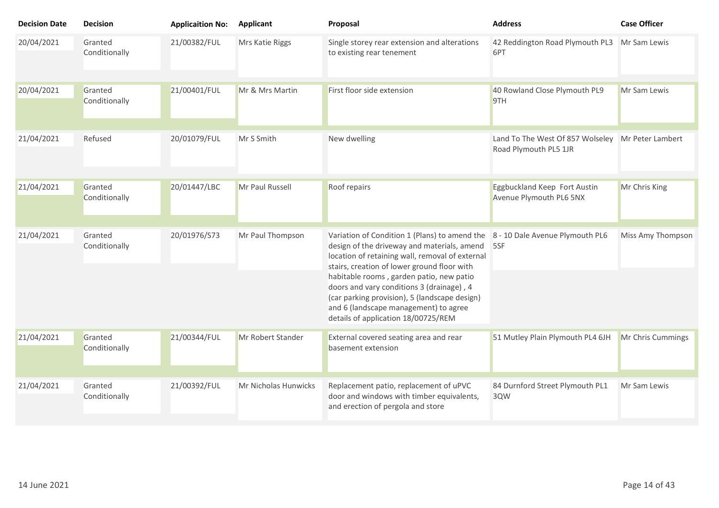| <b>Decision Date</b> | <b>Decision</b>          | <b>Applicaition No:</b> | <b>Applicant</b>     | Proposal                                                                                                                                                                                                                                                                                                                                                                                                                     | <b>Address</b>                                            | <b>Case Officer</b> |
|----------------------|--------------------------|-------------------------|----------------------|------------------------------------------------------------------------------------------------------------------------------------------------------------------------------------------------------------------------------------------------------------------------------------------------------------------------------------------------------------------------------------------------------------------------------|-----------------------------------------------------------|---------------------|
| 20/04/2021           | Granted<br>Conditionally | 21/00382/FUL            | Mrs Katie Riggs      | Single storey rear extension and alterations<br>to existing rear tenement                                                                                                                                                                                                                                                                                                                                                    | 42 Reddington Road Plymouth PL3<br>6PT                    | Mr Sam Lewis        |
| 20/04/2021           | Granted<br>Conditionally | 21/00401/FUL            | Mr & Mrs Martin      | First floor side extension                                                                                                                                                                                                                                                                                                                                                                                                   | 40 Rowland Close Plymouth PL9<br>9TH                      | Mr Sam Lewis        |
| 21/04/2021           | Refused                  | 20/01079/FUL            | Mr S Smith           | New dwelling                                                                                                                                                                                                                                                                                                                                                                                                                 | Land To The West Of 857 Wolseley<br>Road Plymouth PL5 1JR | Mr Peter Lambert    |
| 21/04/2021           | Granted<br>Conditionally | 20/01447/LBC            | Mr Paul Russell      | Roof repairs                                                                                                                                                                                                                                                                                                                                                                                                                 | Eggbuckland Keep Fort Austin<br>Avenue Plymouth PL6 5NX   | Mr Chris King       |
| 21/04/2021           | Granted<br>Conditionally | 20/01976/S73            | Mr Paul Thompson     | Variation of Condition 1 (Plans) to amend the<br>design of the driveway and materials, amend 5SF<br>location of retaining wall, removal of external<br>stairs, creation of lower ground floor with<br>habitable rooms, garden patio, new patio<br>doors and vary conditions 3 (drainage), 4<br>(car parking provision), 5 (landscape design)<br>and 6 (landscape management) to agree<br>details of application 18/00725/REM | 8 - 10 Dale Avenue Plymouth PL6                           | Miss Amy Thompson   |
| 21/04/2021           | Granted<br>Conditionally | 21/00344/FUL            | Mr Robert Stander    | External covered seating area and rear<br>basement extension                                                                                                                                                                                                                                                                                                                                                                 | 51 Mutley Plain Plymouth PL4 6JH                          | Mr Chris Cummings   |
| 21/04/2021           | Granted<br>Conditionally | 21/00392/FUL            | Mr Nicholas Hunwicks | Replacement patio, replacement of uPVC<br>door and windows with timber equivalents,<br>and erection of pergola and store                                                                                                                                                                                                                                                                                                     | 84 Durnford Street Plymouth PL1<br>3QW                    | Mr Sam Lewis        |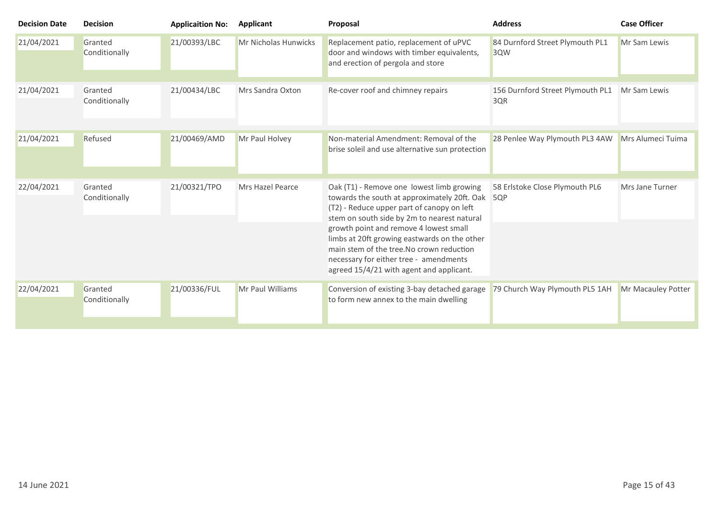| <b>Decision Date</b> | <b>Decision</b>          | <b>Applicaition No:</b> | Applicant            | Proposal                                                                                                                                                                                                                                                                                                                                                                                                            | <b>Address</b>                          | <b>Case Officer</b> |
|----------------------|--------------------------|-------------------------|----------------------|---------------------------------------------------------------------------------------------------------------------------------------------------------------------------------------------------------------------------------------------------------------------------------------------------------------------------------------------------------------------------------------------------------------------|-----------------------------------------|---------------------|
| 21/04/2021           | Granted<br>Conditionally | 21/00393/LBC            | Mr Nicholas Hunwicks | Replacement patio, replacement of uPVC<br>door and windows with timber equivalents,<br>and erection of pergola and store                                                                                                                                                                                                                                                                                            | 84 Durnford Street Plymouth PL1<br>3QW  | Mr Sam Lewis        |
| 21/04/2021           | Granted<br>Conditionally | 21/00434/LBC            | Mrs Sandra Oxton     | Re-cover roof and chimney repairs                                                                                                                                                                                                                                                                                                                                                                                   | 156 Durnford Street Plymouth PL1<br>3QR | Mr Sam Lewis        |
| 21/04/2021           | Refused                  | 21/00469/AMD            | Mr Paul Holvey       | Non-material Amendment: Removal of the<br>brise soleil and use alternative sun protection                                                                                                                                                                                                                                                                                                                           | 28 Penlee Way Plymouth PL3 4AW          | Mrs Alumeci Tuima   |
| 22/04/2021           | Granted<br>Conditionally | 21/00321/TPO            | Mrs Hazel Pearce     | Oak (T1) - Remove one lowest limb growing<br>towards the south at approximately 20ft. Oak<br>(T2) - Reduce upper part of canopy on left<br>stem on south side by 2m to nearest natural<br>growth point and remove 4 lowest small<br>limbs at 20ft growing eastwards on the other<br>main stem of the tree. No crown reduction<br>necessary for either tree - amendments<br>agreed 15/4/21 with agent and applicant. | 58 Erlstoke Close Plymouth PL6<br>5QP   | Mrs Jane Turner     |
| 22/04/2021           | Granted<br>Conditionally | 21/00336/FUL            | Mr Paul Williams     | Conversion of existing 3-bay detached garage<br>to form new annex to the main dwelling                                                                                                                                                                                                                                                                                                                              | 79 Church Way Plymouth PL5 1AH          | Mr Macauley Potter  |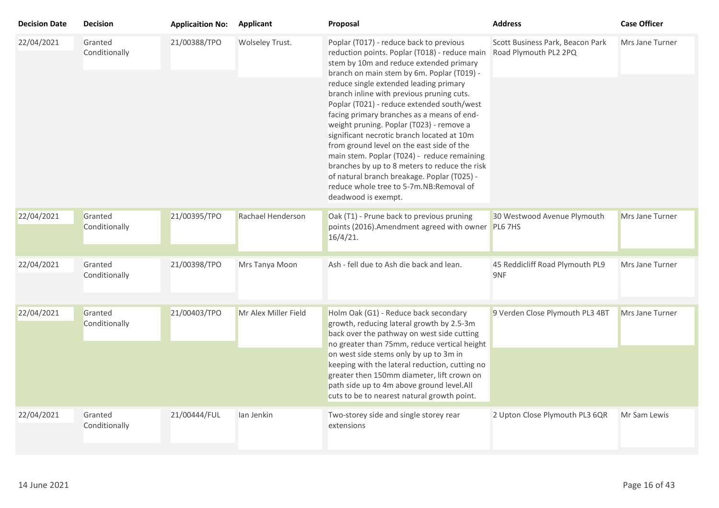| <b>Decision Date</b> | <b>Decision</b>          | <b>Applicaition No:</b> | <b>Applicant</b>     | Proposal                                                                                                                                                                                                                                                                                                                                                                                                                                                                                                                                                                                                                                                                                                                     | <b>Address</b>                                            | <b>Case Officer</b> |
|----------------------|--------------------------|-------------------------|----------------------|------------------------------------------------------------------------------------------------------------------------------------------------------------------------------------------------------------------------------------------------------------------------------------------------------------------------------------------------------------------------------------------------------------------------------------------------------------------------------------------------------------------------------------------------------------------------------------------------------------------------------------------------------------------------------------------------------------------------------|-----------------------------------------------------------|---------------------|
| 22/04/2021           | Granted<br>Conditionally | 21/00388/TPO            | Wolseley Trust.      | Poplar (T017) - reduce back to previous<br>reduction points. Poplar (T018) - reduce main<br>stem by 10m and reduce extended primary<br>branch on main stem by 6m. Poplar (T019) -<br>reduce single extended leading primary<br>branch inline with previous pruning cuts.<br>Poplar (T021) - reduce extended south/west<br>facing primary branches as a means of end-<br>weight pruning. Poplar (T023) - remove a<br>significant necrotic branch located at 10m<br>from ground level on the east side of the<br>main stem. Poplar (T024) - reduce remaining<br>branches by up to 8 meters to reduce the risk<br>of natural branch breakage. Poplar (T025) -<br>reduce whole tree to 5-7m.NB:Removal of<br>deadwood is exempt. | Scott Business Park, Beacon Park<br>Road Plymouth PL2 2PQ | Mrs Jane Turner     |
| 22/04/2021           | Granted<br>Conditionally | 21/00395/TPO            | Rachael Henderson    | Oak (T1) - Prune back to previous pruning<br>points (2016). Amendment agreed with owner PL6 7HS<br>16/4/21.                                                                                                                                                                                                                                                                                                                                                                                                                                                                                                                                                                                                                  | 30 Westwood Avenue Plymouth                               | Mrs Jane Turner     |
| 22/04/2021           | Granted<br>Conditionally | 21/00398/TPO            | Mrs Tanya Moon       | Ash - fell due to Ash die back and lean.                                                                                                                                                                                                                                                                                                                                                                                                                                                                                                                                                                                                                                                                                     | 45 Reddicliff Road Plymouth PL9<br>9NF                    | Mrs Jane Turner     |
| 22/04/2021           | Granted<br>Conditionally | 21/00403/TPO            | Mr Alex Miller Field | Holm Oak (G1) - Reduce back secondary<br>growth, reducing lateral growth by 2.5-3m<br>back over the pathway on west side cutting<br>no greater than 75mm, reduce vertical height<br>on west side stems only by up to 3m in<br>keeping with the lateral reduction, cutting no<br>greater then 150mm diameter, lift crown on<br>path side up to 4m above ground level.All<br>cuts to be to nearest natural growth point.                                                                                                                                                                                                                                                                                                       | 9 Verden Close Plymouth PL3 4BT                           | Mrs Jane Turner     |
| 22/04/2021           | Granted<br>Conditionally | 21/00444/FUL            | lan Jenkin           | Two-storey side and single storey rear<br>extensions                                                                                                                                                                                                                                                                                                                                                                                                                                                                                                                                                                                                                                                                         | 2 Upton Close Plymouth PL3 6QR                            | Mr Sam Lewis        |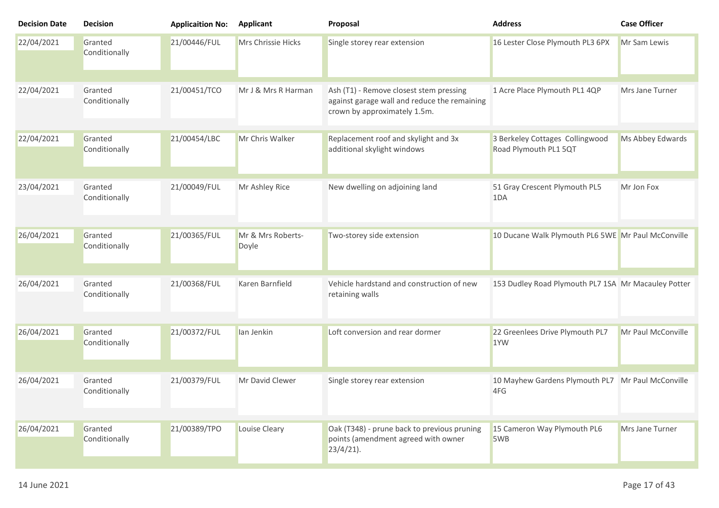| <b>Decision Date</b> | <b>Decision</b>          | <b>Applicaition No:</b> | <b>Applicant</b>           | Proposal                                                                                                                | <b>Address</b>                                           | <b>Case Officer</b> |
|----------------------|--------------------------|-------------------------|----------------------------|-------------------------------------------------------------------------------------------------------------------------|----------------------------------------------------------|---------------------|
| 22/04/2021           | Granted<br>Conditionally | 21/00446/FUL            | Mrs Chrissie Hicks         | Single storey rear extension                                                                                            | 16 Lester Close Plymouth PL3 6PX                         | Mr Sam Lewis        |
| 22/04/2021           | Granted<br>Conditionally | 21/00451/TCO            | Mr J & Mrs R Harman        | Ash (T1) - Remove closest stem pressing<br>against garage wall and reduce the remaining<br>crown by approximately 1.5m. | 1 Acre Place Plymouth PL1 4QP                            | Mrs Jane Turner     |
| 22/04/2021           | Granted<br>Conditionally | 21/00454/LBC            | Mr Chris Walker            | Replacement roof and skylight and 3x<br>additional skylight windows                                                     | 3 Berkeley Cottages Collingwood<br>Road Plymouth PL1 5QT | Ms Abbey Edwards    |
| 23/04/2021           | Granted<br>Conditionally | 21/00049/FUL            | Mr Ashley Rice             | New dwelling on adjoining land                                                                                          | 51 Gray Crescent Plymouth PL5<br>1DA                     | Mr Jon Fox          |
| 26/04/2021           | Granted<br>Conditionally | 21/00365/FUL            | Mr & Mrs Roberts-<br>Doyle | Two-storey side extension                                                                                               | 10 Ducane Walk Plymouth PL6 5WE Mr Paul McConville       |                     |
| 26/04/2021           | Granted<br>Conditionally | 21/00368/FUL            | Karen Barnfield            | Vehicle hardstand and construction of new<br>retaining walls                                                            | 153 Dudley Road Plymouth PL7 1SA Mr Macauley Potter      |                     |
| 26/04/2021           | Granted<br>Conditionally | 21/00372/FUL            | lan Jenkin                 | Loft conversion and rear dormer                                                                                         | 22 Greenlees Drive Plymouth PL7<br>1YW                   | Mr Paul McConville  |
| 26/04/2021           | Granted<br>Conditionally | 21/00379/FUL            | Mr David Clewer            | Single storey rear extension                                                                                            | 10 Mayhew Gardens Plymouth PL7<br>4FG                    | Mr Paul McConville  |
| 26/04/2021           | Granted<br>Conditionally | 21/00389/TPO            | Louise Cleary              | Oak (T348) - prune back to previous pruning<br>points (amendment agreed with owner<br>$23/4/21$ ).                      | 15 Cameron Way Plymouth PL6<br>5WB                       | Mrs Jane Turner     |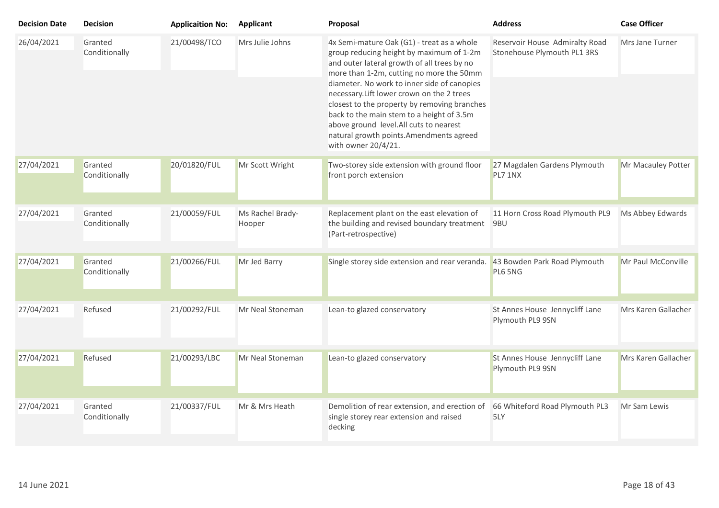| <b>Decision Date</b> | <b>Decision</b>          | <b>Applicaition No:</b> | <b>Applicant</b>           | Proposal                                                                                                                                                                                                                                                                                                                                                                                                                                                                                 | <b>Address</b>                                                | <b>Case Officer</b> |
|----------------------|--------------------------|-------------------------|----------------------------|------------------------------------------------------------------------------------------------------------------------------------------------------------------------------------------------------------------------------------------------------------------------------------------------------------------------------------------------------------------------------------------------------------------------------------------------------------------------------------------|---------------------------------------------------------------|---------------------|
| 26/04/2021           | Granted<br>Conditionally | 21/00498/TCO            | Mrs Julie Johns            | 4x Semi-mature Oak (G1) - treat as a whole<br>group reducing height by maximum of 1-2m<br>and outer lateral growth of all trees by no<br>more than 1-2m, cutting no more the 50mm<br>diameter. No work to inner side of canopies<br>necessary. Lift lower crown on the 2 trees<br>closest to the property by removing branches<br>back to the main stem to a height of 3.5m<br>above ground level.All cuts to nearest<br>natural growth points. Amendments agreed<br>with owner 20/4/21. | Reservoir House Admiralty Road<br>Stonehouse Plymouth PL1 3RS | Mrs Jane Turner     |
| 27/04/2021           | Granted<br>Conditionally | 20/01820/FUL            | Mr Scott Wright            | Two-storey side extension with ground floor<br>front porch extension                                                                                                                                                                                                                                                                                                                                                                                                                     | 27 Magdalen Gardens Plymouth<br>PL7 1NX                       | Mr Macauley Potter  |
| 27/04/2021           | Granted<br>Conditionally | 21/00059/FUL            | Ms Rachel Brady-<br>Hooper | Replacement plant on the east elevation of<br>the building and revised boundary treatment<br>(Part-retrospective)                                                                                                                                                                                                                                                                                                                                                                        | 11 Horn Cross Road Plymouth PL9<br>9BU                        | Ms Abbey Edwards    |
| 27/04/2021           | Granted<br>Conditionally | 21/00266/FUL            | Mr Jed Barry               | Single storey side extension and rear veranda.                                                                                                                                                                                                                                                                                                                                                                                                                                           | 43 Bowden Park Road Plymouth<br>PL6 5NG                       | Mr Paul McConville  |
| 27/04/2021           | Refused                  | 21/00292/FUL            | Mr Neal Stoneman           | Lean-to glazed conservatory                                                                                                                                                                                                                                                                                                                                                                                                                                                              | St Annes House Jennycliff Lane<br>Plymouth PL9 9SN            | Mrs Karen Gallacher |
| 27/04/2021           | Refused                  | 21/00293/LBC            | Mr Neal Stoneman           | Lean-to glazed conservatory                                                                                                                                                                                                                                                                                                                                                                                                                                                              | St Annes House Jennycliff Lane<br>Plymouth PL9 9SN            | Mrs Karen Gallacher |
| 27/04/2021           | Granted<br>Conditionally | 21/00337/FUL            | Mr & Mrs Heath             | Demolition of rear extension, and erection of<br>single storey rear extension and raised<br>decking                                                                                                                                                                                                                                                                                                                                                                                      | 66 Whiteford Road Plymouth PL3<br>5LY                         | Mr Sam Lewis        |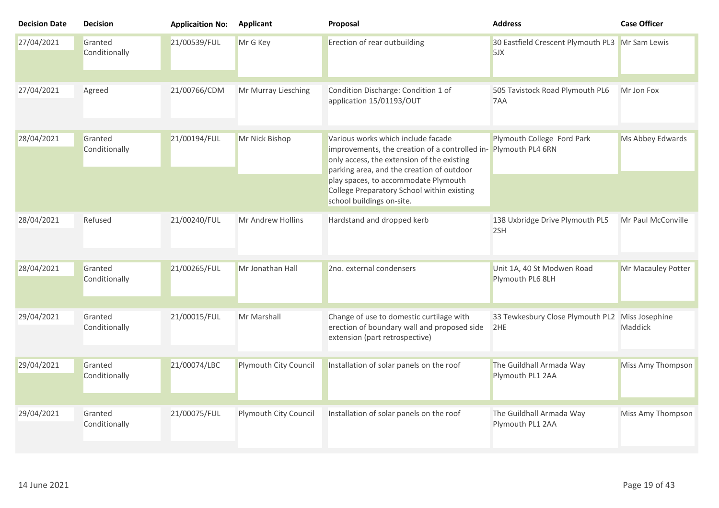| <b>Decision Date</b> | <b>Decision</b>          | <b>Applicaition No:</b> | <b>Applicant</b>      | Proposal                                                                                                                                                                        | <b>Address</b>                                 | <b>Case Officer</b>       |
|----------------------|--------------------------|-------------------------|-----------------------|---------------------------------------------------------------------------------------------------------------------------------------------------------------------------------|------------------------------------------------|---------------------------|
| 27/04/2021           | Granted<br>Conditionally | 21/00539/FUL            | Mr G Key              | Erection of rear outbuilding                                                                                                                                                    | 30 Eastfield Crescent Plymouth PL3<br>5JX      | Mr Sam Lewis              |
| 27/04/2021           | Agreed                   | 21/00766/CDM            | Mr Murray Liesching   | Condition Discharge: Condition 1 of<br>application 15/01193/OUT                                                                                                                 | 505 Tavistock Road Plymouth PL6<br>7AA         | Mr Jon Fox                |
| 28/04/2021           | Granted<br>Conditionally | 21/00194/FUL            | Mr Nick Bishop        | Various works which include facade<br>improvements, the creation of a controlled in-<br>only access, the extension of the existing<br>parking area, and the creation of outdoor | Plymouth College Ford Park<br>Plymouth PL4 6RN | Ms Abbey Edwards          |
|                      |                          |                         |                       | play spaces, to accommodate Plymouth<br>College Preparatory School within existing<br>school buildings on-site.                                                                 |                                                |                           |
| 28/04/2021           | Refused                  | 21/00240/FUL            | Mr Andrew Hollins     | Hardstand and dropped kerb                                                                                                                                                      | 138 Uxbridge Drive Plymouth PL5<br>2SH         | Mr Paul McConville        |
| 28/04/2021           | Granted<br>Conditionally | 21/00265/FUL            | Mr Jonathan Hall      | 2no. external condensers                                                                                                                                                        | Unit 1A, 40 St Modwen Road<br>Plymouth PL6 8LH | Mr Macauley Potter        |
| 29/04/2021           | Granted<br>Conditionally | 21/00015/FUL            | Mr Marshall           | Change of use to domestic curtilage with<br>erection of boundary wall and proposed side<br>extension (part retrospective)                                                       | 33 Tewkesbury Close Plymouth PL2<br>2HE        | Miss Josephine<br>Maddick |
| 29/04/2021           | Granted<br>Conditionally | 21/00074/LBC            | Plymouth City Council | Installation of solar panels on the roof                                                                                                                                        | The Guildhall Armada Way<br>Plymouth PL1 2AA   | Miss Amy Thompson         |
| 29/04/2021           | Granted<br>Conditionally | 21/00075/FUL            | Plymouth City Council | Installation of solar panels on the roof                                                                                                                                        | The Guildhall Armada Way<br>Plymouth PL1 2AA   | Miss Amy Thompson         |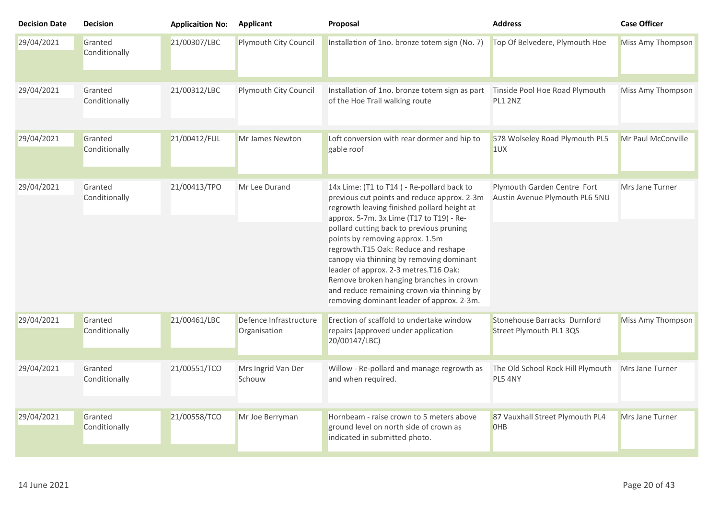| <b>Decision Date</b> | <b>Decision</b>          | <b>Applicaition No:</b> | <b>Applicant</b>                       | Proposal                                                                                                                                                                                                                                                                                                                                                                                                                                                                                                                               | <b>Address</b>                                                | <b>Case Officer</b> |
|----------------------|--------------------------|-------------------------|----------------------------------------|----------------------------------------------------------------------------------------------------------------------------------------------------------------------------------------------------------------------------------------------------------------------------------------------------------------------------------------------------------------------------------------------------------------------------------------------------------------------------------------------------------------------------------------|---------------------------------------------------------------|---------------------|
| 29/04/2021           | Granted<br>Conditionally | 21/00307/LBC            | Plymouth City Council                  | Installation of 1no. bronze totem sign (No. 7)                                                                                                                                                                                                                                                                                                                                                                                                                                                                                         | Top Of Belvedere, Plymouth Hoe                                | Miss Amy Thompson   |
| 29/04/2021           | Granted<br>Conditionally | 21/00312/LBC            | Plymouth City Council                  | Installation of 1no. bronze totem sign as part<br>of the Hoe Trail walking route                                                                                                                                                                                                                                                                                                                                                                                                                                                       | Tinside Pool Hoe Road Plymouth<br>PL1 2NZ                     | Miss Amy Thompson   |
| 29/04/2021           | Granted<br>Conditionally | 21/00412/FUL            | Mr James Newton                        | Loft conversion with rear dormer and hip to<br>gable roof                                                                                                                                                                                                                                                                                                                                                                                                                                                                              | 578 Wolseley Road Plymouth PL5<br>1UX                         | Mr Paul McConville  |
| 29/04/2021           | Granted<br>Conditionally | 21/00413/TPO            | Mr Lee Durand                          | 14x Lime: (T1 to T14) - Re-pollard back to<br>previous cut points and reduce approx. 2-3m<br>regrowth leaving finished pollard height at<br>approx. 5-7m. 3x Lime (T17 to T19) - Re-<br>pollard cutting back to previous pruning<br>points by removing approx. 1.5m<br>regrowth.T15 Oak: Reduce and reshape<br>canopy via thinning by removing dominant<br>leader of approx. 2-3 metres.T16 Oak:<br>Remove broken hanging branches in crown<br>and reduce remaining crown via thinning by<br>removing dominant leader of approx. 2-3m. | Plymouth Garden Centre Fort<br>Austin Avenue Plymouth PL6 5NU | Mrs Jane Turner     |
| 29/04/2021           | Granted<br>Conditionally | 21/00461/LBC            | Defence Infrastructure<br>Organisation | Erection of scaffold to undertake window<br>repairs (approved under application<br>20/00147/LBC)                                                                                                                                                                                                                                                                                                                                                                                                                                       | Stonehouse Barracks Durnford<br>Street Plymouth PL1 3QS       | Miss Amy Thompson   |
| 29/04/2021           | Granted<br>Conditionally | 21/00551/TCO            | Mrs Ingrid Van Der<br>Schouw           | Willow - Re-pollard and manage regrowth as<br>and when required.                                                                                                                                                                                                                                                                                                                                                                                                                                                                       | The Old School Rock Hill Plymouth<br>PL5 4NY                  | Mrs Jane Turner     |
| 29/04/2021           | Granted<br>Conditionally | 21/00558/TCO            | Mr Joe Berryman                        | Hornbeam - raise crown to 5 meters above<br>ground level on north side of crown as<br>indicated in submitted photo.                                                                                                                                                                                                                                                                                                                                                                                                                    | 87 Vauxhall Street Plymouth PL4<br>0HB                        | Mrs Jane Turner     |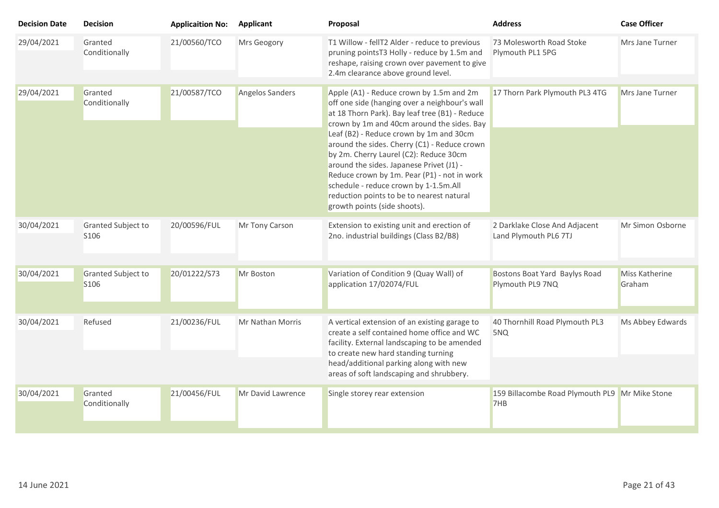| <b>Decision Date</b> | <b>Decision</b>                        | <b>Applicaition No:</b> | <b>Applicant</b>        | Proposal                                                                                                                                                                                                                                                                                                                                                                                                                                                                                                                                        | <b>Address</b>                                         | <b>Case Officer</b>      |
|----------------------|----------------------------------------|-------------------------|-------------------------|-------------------------------------------------------------------------------------------------------------------------------------------------------------------------------------------------------------------------------------------------------------------------------------------------------------------------------------------------------------------------------------------------------------------------------------------------------------------------------------------------------------------------------------------------|--------------------------------------------------------|--------------------------|
| 29/04/2021           | Granted<br>Conditionally               | 21/00560/TCO            | Mrs Geogory             | T1 Willow - fellT2 Alder - reduce to previous<br>pruning pointsT3 Holly - reduce by 1.5m and<br>reshape, raising crown over pavement to give<br>2.4m clearance above ground level.                                                                                                                                                                                                                                                                                                                                                              | 73 Molesworth Road Stoke<br>Plymouth PL1 5PG           | Mrs Jane Turner          |
| 29/04/2021           | Granted<br>Conditionally               | 21/00587/TCO            | Angelos Sanders         | Apple (A1) - Reduce crown by 1.5m and 2m<br>off one side (hanging over a neighbour's wall<br>at 18 Thorn Park). Bay leaf tree (B1) - Reduce<br>crown by 1m and 40cm around the sides. Bay<br>Leaf (B2) - Reduce crown by 1m and 30cm<br>around the sides. Cherry (C1) - Reduce crown<br>by 2m. Cherry Laurel (C2): Reduce 30cm<br>around the sides. Japanese Privet (J1) -<br>Reduce crown by 1m. Pear (P1) - not in work<br>schedule - reduce crown by 1-1.5m.All<br>reduction points to be to nearest natural<br>growth points (side shoots). | 17 Thorn Park Plymouth PL3 4TG                         | Mrs Jane Turner          |
| 30/04/2021           | Granted Subject to<br>S106             | 20/00596/FUL            | Mr Tony Carson          | Extension to existing unit and erection of<br>2no. industrial buildings (Class B2/B8)                                                                                                                                                                                                                                                                                                                                                                                                                                                           | 2 Darklake Close And Adjacent<br>Land Plymouth PL6 7TJ | Mr Simon Osborne         |
| 30/04/2021           | Granted Subject to<br>S <sub>106</sub> | 20/01222/S73            | Mr Boston               | Variation of Condition 9 (Quay Wall) of<br>application 17/02074/FUL                                                                                                                                                                                                                                                                                                                                                                                                                                                                             | Bostons Boat Yard Baylys Road<br>Plymouth PL9 7NQ      | Miss Katherine<br>Graham |
| 30/04/2021           | Refused                                | 21/00236/FUL            | <b>Mr Nathan Morris</b> | A vertical extension of an existing garage to<br>create a self contained home office and WC<br>facility. External landscaping to be amended<br>to create new hard standing turning<br>head/additional parking along with new<br>areas of soft landscaping and shrubbery.                                                                                                                                                                                                                                                                        | 40 Thornhill Road Plymouth PL3<br>5NQ                  | Ms Abbey Edwards         |
| 30/04/2021           | Granted<br>Conditionally               | 21/00456/FUL            | Mr David Lawrence       | Single storey rear extension                                                                                                                                                                                                                                                                                                                                                                                                                                                                                                                    | 159 Billacombe Road Plymouth PL9 Mr Mike Stone<br>7HB  |                          |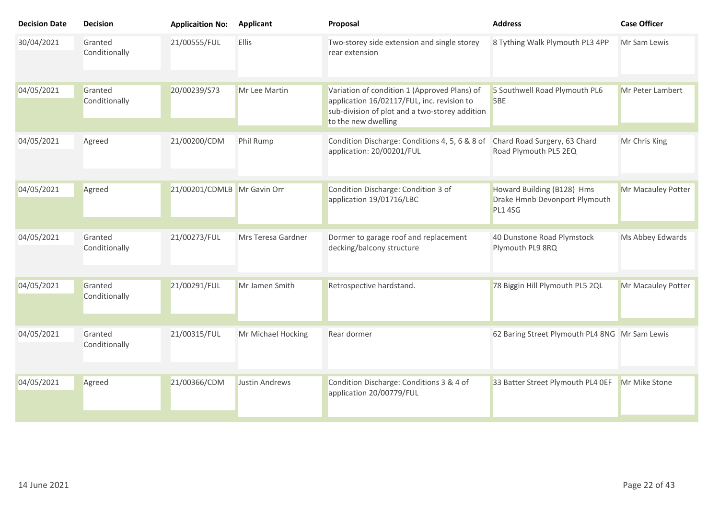| <b>Decision Date</b> | <b>Decision</b>          | <b>Applicaition No:</b>     | Applicant          | Proposal                                                                                   | <b>Address</b>                                                                | <b>Case Officer</b> |
|----------------------|--------------------------|-----------------------------|--------------------|--------------------------------------------------------------------------------------------|-------------------------------------------------------------------------------|---------------------|
| 30/04/2021           | Granted<br>Conditionally | 21/00555/FUL                | <b>Ellis</b>       | Two-storey side extension and single storey<br>rear extension                              | 8 Tything Walk Plymouth PL3 4PP                                               | Mr Sam Lewis        |
| 04/05/2021           | Granted                  | 20/00239/S73                | Mr Lee Martin      | Variation of condition 1 (Approved Plans) of<br>application 16/02117/FUL, inc. revision to | 5 Southwell Road Plymouth PL6<br>5BE                                          | Mr Peter Lambert    |
|                      | Conditionally            |                             |                    | sub-division of plot and a two-storey addition<br>to the new dwelling                      |                                                                               |                     |
| 04/05/2021           | Agreed                   | 21/00200/CDM                | Phil Rump          | Condition Discharge: Conditions 4, 5, 6 & 8 of<br>application: 20/00201/FUL                | Chard Road Surgery, 63 Chard<br>Road Plymouth PL5 2EQ                         | Mr Chris King       |
| 04/05/2021           | Agreed                   | 21/00201/CDMLB Mr Gavin Orr |                    | Condition Discharge: Condition 3 of<br>application 19/01716/LBC                            | Howard Building (B128) Hms<br>Drake Hmnb Devonport Plymouth<br><b>PL1 4SG</b> | Mr Macauley Potter  |
| 04/05/2021           | Granted<br>Conditionally | 21/00273/FUL                | Mrs Teresa Gardner | Dormer to garage roof and replacement<br>decking/balcony structure                         | 40 Dunstone Road Plymstock<br>Plymouth PL9 8RQ                                | Ms Abbey Edwards    |
| 04/05/2021           | Granted<br>Conditionally | 21/00291/FUL                | Mr Jamen Smith     | Retrospective hardstand.                                                                   | 78 Biggin Hill Plymouth PL5 2QL                                               | Mr Macauley Potter  |
| 04/05/2021           | Granted<br>Conditionally | 21/00315/FUL                | Mr Michael Hocking | Rear dormer                                                                                | 62 Baring Street Plymouth PL4 8NG Mr Sam Lewis                                |                     |
| 04/05/2021           | Agreed                   | 21/00366/CDM                | Justin Andrews     | Condition Discharge: Conditions 3 & 4 of<br>application 20/00779/FUL                       | 33 Batter Street Plymouth PL4 OEF                                             | Mr Mike Stone       |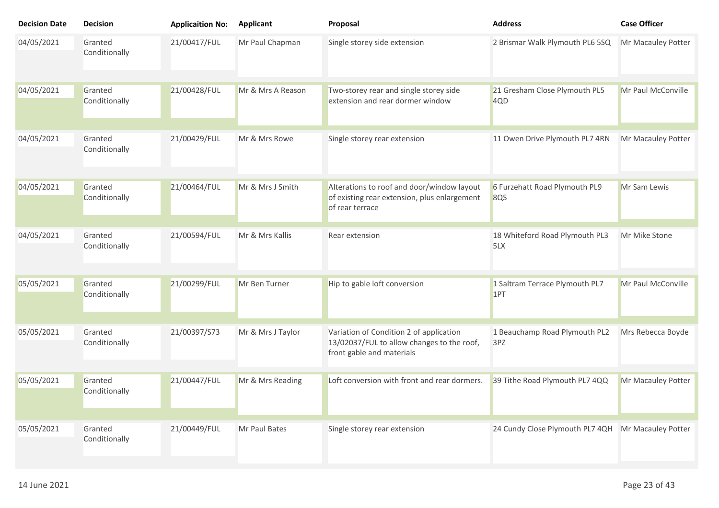| <b>Decision Date</b> | <b>Decision</b>          | <b>Applicaition No:</b> | <b>Applicant</b>  | Proposal                                                                                                           | <b>Address</b>                                     | <b>Case Officer</b> |
|----------------------|--------------------------|-------------------------|-------------------|--------------------------------------------------------------------------------------------------------------------|----------------------------------------------------|---------------------|
| 04/05/2021           | Granted<br>Conditionally | 21/00417/FUL            | Mr Paul Chapman   | Single storey side extension                                                                                       | 2 Brismar Walk Plymouth PL6 5SQ                    | Mr Macauley Potter  |
| 04/05/2021           | Granted<br>Conditionally | 21/00428/FUL            | Mr & Mrs A Reason | Two-storey rear and single storey side<br>extension and rear dormer window                                         | 21 Gresham Close Plymouth PL5<br>4QD               | Mr Paul McConville  |
| 04/05/2021           | Granted<br>Conditionally | 21/00429/FUL            | Mr & Mrs Rowe     | Single storey rear extension                                                                                       | 11 Owen Drive Plymouth PL7 4RN                     | Mr Macauley Potter  |
| 04/05/2021           | Granted<br>Conditionally | 21/00464/FUL            | Mr & Mrs J Smith  | Alterations to roof and door/window layout<br>of existing rear extension, plus enlargement<br>of rear terrace      | 6 Furzehatt Road Plymouth PL9<br>8QS               | Mr Sam Lewis        |
| 04/05/2021           | Granted<br>Conditionally | 21/00594/FUL            | Mr & Mrs Kallis   | Rear extension                                                                                                     | 18 Whiteford Road Plymouth PL3<br>5LX              | Mr Mike Stone       |
| 05/05/2021           | Granted<br>Conditionally | 21/00299/FUL            | Mr Ben Turner     | Hip to gable loft conversion                                                                                       | 1 Saltram Terrace Plymouth PL7<br>1PT              | Mr Paul McConville  |
| 05/05/2021           | Granted<br>Conditionally | 21/00397/S73            | Mr & Mrs J Taylor | Variation of Condition 2 of application<br>13/02037/FUL to allow changes to the roof,<br>front gable and materials | 1 Beauchamp Road Plymouth PL2<br>3PZ               | Mrs Rebecca Boyde   |
| 05/05/2021           | Granted<br>Conditionally | 21/00447/FUL            | Mr & Mrs Reading  | Loft conversion with front and rear dormers.                                                                       | 39 Tithe Road Plymouth PL7 4QQ                     | Mr Macauley Potter  |
| 05/05/2021           | Granted<br>Conditionally | 21/00449/FUL            | Mr Paul Bates     | Single storey rear extension                                                                                       | 24 Cundy Close Plymouth PL7 4QH Mr Macauley Potter |                     |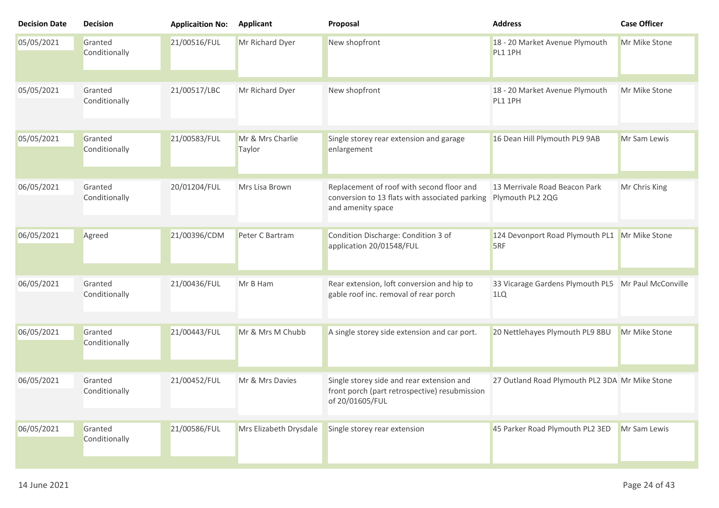| <b>Decision Date</b> | <b>Decision</b>          | <b>Applicaition No:</b> | <b>Applicant</b>                  | Proposal                                                                                                         | <b>Address</b>                                             | <b>Case Officer</b> |
|----------------------|--------------------------|-------------------------|-----------------------------------|------------------------------------------------------------------------------------------------------------------|------------------------------------------------------------|---------------------|
| 05/05/2021           | Granted<br>Conditionally | 21/00516/FUL            | Mr Richard Dyer                   | New shopfront                                                                                                    | 18 - 20 Market Avenue Plymouth<br>PL1 1PH                  | Mr Mike Stone       |
| 05/05/2021           | Granted<br>Conditionally | 21/00517/LBC            | Mr Richard Dyer                   | New shopfront                                                                                                    | 18 - 20 Market Avenue Plymouth<br>PL1 1PH                  | Mr Mike Stone       |
| 05/05/2021           | Granted<br>Conditionally | 21/00583/FUL            | Mr & Mrs Charlie<br><b>Taylor</b> | Single storey rear extension and garage<br>enlargement                                                           | 16 Dean Hill Plymouth PL9 9AB                              | Mr Sam Lewis        |
| 06/05/2021           | Granted<br>Conditionally | 20/01204/FUL            | Mrs Lisa Brown                    | Replacement of roof with second floor and<br>conversion to 13 flats with associated parking<br>and amenity space | 13 Merrivale Road Beacon Park<br>Plymouth PL2 2QG          | Mr Chris King       |
| 06/05/2021           | Agreed                   | 21/00396/CDM            | Peter C Bartram                   | Condition Discharge: Condition 3 of<br>application 20/01548/FUL                                                  | 124 Devonport Road Plymouth PL1<br>5RF                     | Mr Mike Stone       |
| 06/05/2021           | Granted<br>Conditionally | 21/00436/FUL            | Mr B Ham                          | Rear extension, loft conversion and hip to<br>gable roof inc. removal of rear porch                              | 33 Vicarage Gardens Plymouth PL5 Mr Paul McConville<br>1LQ |                     |
| 06/05/2021           | Granted<br>Conditionally | 21/00443/FUL            | Mr & Mrs M Chubb                  | A single storey side extension and car port.                                                                     | 20 Nettlehayes Plymouth PL9 8BU                            | Mr Mike Stone       |
| 06/05/2021           | Granted<br>Conditionally | 21/00452/FUL            | Mr & Mrs Davies                   | Single storey side and rear extension and<br>front porch (part retrospective) resubmission<br>of 20/01605/FUL    | 27 Outland Road Plymouth PL2 3DA Mr Mike Stone             |                     |
| 06/05/2021           | Granted<br>Conditionally | 21/00586/FUL            | Mrs Elizabeth Drysdale            | Single storey rear extension                                                                                     | 45 Parker Road Plymouth PL2 3ED                            | Mr Sam Lewis        |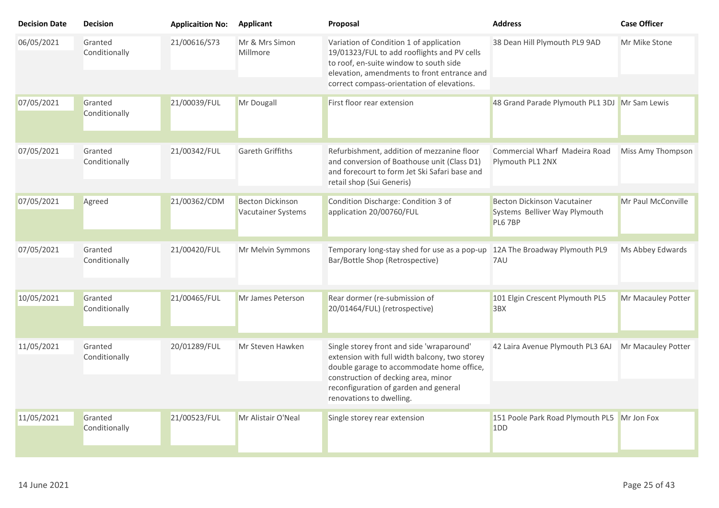| <b>Decision Date</b> | <b>Decision</b>          | <b>Applicaition No:</b> | <b>Applicant</b>                              | Proposal                                                                                                                                                                                                                      | <b>Address</b>                                                                 | <b>Case Officer</b> |
|----------------------|--------------------------|-------------------------|-----------------------------------------------|-------------------------------------------------------------------------------------------------------------------------------------------------------------------------------------------------------------------------------|--------------------------------------------------------------------------------|---------------------|
| 06/05/2021           | Granted<br>Conditionally | 21/00616/S73            | Mr & Mrs Simon<br>Millmore                    | Variation of Condition 1 of application<br>19/01323/FUL to add rooflights and PV cells<br>to roof, en-suite window to south side<br>elevation, amendments to front entrance and<br>correct compass-orientation of elevations. | 38 Dean Hill Plymouth PL9 9AD                                                  | Mr Mike Stone       |
| 07/05/2021           | Granted<br>Conditionally | 21/00039/FUL            | Mr Dougall                                    | First floor rear extension                                                                                                                                                                                                    | 48 Grand Parade Plymouth PL1 3DJ Mr Sam Lewis                                  |                     |
| 07/05/2021           | Granted<br>Conditionally | 21/00342/FUL            | <b>Gareth Griffiths</b>                       | Refurbishment, addition of mezzanine floor<br>and conversion of Boathouse unit (Class D1)<br>and forecourt to form Jet Ski Safari base and<br>retail shop (Sui Generis)                                                       | Commercial Wharf Madeira Road<br>Plymouth PL1 2NX                              | Miss Amy Thompson   |
| 07/05/2021           | Agreed                   | 21/00362/CDM            | <b>Becton Dickinson</b><br>Vacutainer Systems | Condition Discharge: Condition 3 of<br>application 20/00760/FUL                                                                                                                                                               | <b>Becton Dickinson Vacutainer</b><br>Systems Belliver Way Plymouth<br>PL6 7BP | Mr Paul McConville  |
| 07/05/2021           | Granted<br>Conditionally | 21/00420/FUL            | Mr Melvin Symmons                             | Temporary long-stay shed for use as a pop-up<br>Bar/Bottle Shop (Retrospective)                                                                                                                                               | 12A The Broadway Plymouth PL9<br>7AU                                           | Ms Abbey Edwards    |
| 10/05/2021           | Granted<br>Conditionally | 21/00465/FUL            | Mr James Peterson                             | Rear dormer (re-submission of<br>20/01464/FUL) (retrospective)                                                                                                                                                                | 101 Elgin Crescent Plymouth PL5<br>3BX                                         | Mr Macauley Potter  |
| 11/05/2021           | Granted<br>Conditionally | 20/01289/FUL            | Mr Steven Hawken                              | Single storey front and side 'wraparound'<br>extension with full width balcony, two storey<br>double garage to accommodate home office,<br>construction of decking area, minor<br>reconfiguration of garden and general       | 42 Laira Avenue Plymouth PL3 6AJ                                               | Mr Macauley Potter  |
|                      |                          |                         |                                               | renovations to dwelling.                                                                                                                                                                                                      |                                                                                |                     |
| 11/05/2021           | Granted<br>Conditionally | 21/00523/FUL            | Mr Alistair O'Neal                            | Single storey rear extension                                                                                                                                                                                                  | 151 Poole Park Road Plymouth PL5 Mr Jon Fox<br>1 <sub>DD</sub>                 |                     |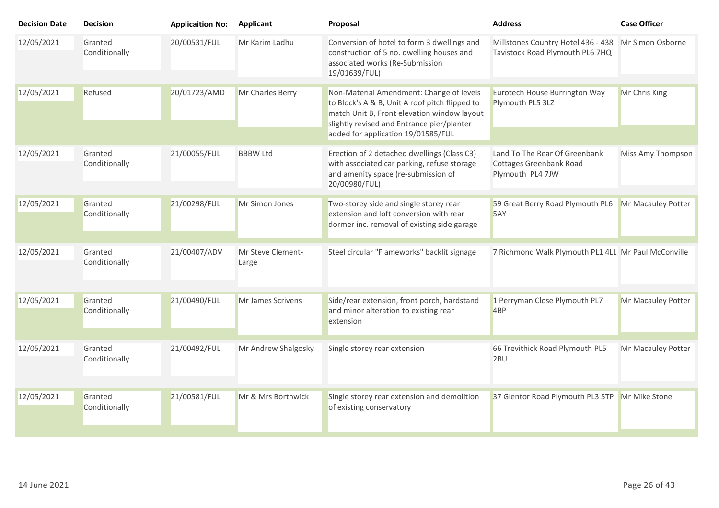| <b>Decision Date</b> | <b>Decision</b>          | <b>Applicaition No:</b> | <b>Applicant</b>           | Proposal                                                                                                                                                                                                                      | <b>Address</b>                                                                         | <b>Case Officer</b> |
|----------------------|--------------------------|-------------------------|----------------------------|-------------------------------------------------------------------------------------------------------------------------------------------------------------------------------------------------------------------------------|----------------------------------------------------------------------------------------|---------------------|
| 12/05/2021           | Granted<br>Conditionally | 20/00531/FUL            | Mr Karim Ladhu             | Conversion of hotel to form 3 dwellings and<br>construction of 5 no. dwelling houses and<br>associated works (Re-Submission<br>19/01639/FUL)                                                                                  | Millstones Country Hotel 436 - 438 Mr Simon Osborne<br>Tavistock Road Plymouth PL6 7HQ |                     |
| 12/05/2021           | Refused                  | 20/01723/AMD            | Mr Charles Berry           | Non-Material Amendment: Change of levels<br>to Block's A & B, Unit A roof pitch flipped to<br>match Unit B, Front elevation window layout<br>slightly revised and Entrance pier/planter<br>added for application 19/01585/FUL | Eurotech House Burrington Way<br>Plymouth PL5 3LZ                                      | Mr Chris King       |
| 12/05/2021           | Granted<br>Conditionally | 21/00055/FUL            | <b>BBBW Ltd</b>            | Erection of 2 detached dwellings (Class C3)<br>with associated car parking, refuse storage<br>and amenity space (re-submission of<br>20/00980/FUL)                                                                            | Land To The Rear Of Greenbank<br><b>Cottages Greenbank Road</b><br>Plymouth PL4 7JW    | Miss Amy Thompson   |
| 12/05/2021           | Granted<br>Conditionally | 21/00298/FUL            | Mr Simon Jones             | Two-storey side and single storey rear<br>extension and loft conversion with rear<br>dormer inc. removal of existing side garage                                                                                              | 59 Great Berry Road Plymouth PL6<br>5AY                                                | Mr Macauley Potter  |
| 12/05/2021           | Granted<br>Conditionally | 21/00407/ADV            | Mr Steve Clement-<br>Large | Steel circular "Flameworks" backlit signage                                                                                                                                                                                   | 7 Richmond Walk Plymouth PL1 4LL Mr Paul McConville                                    |                     |
| 12/05/2021           | Granted<br>Conditionally | 21/00490/FUL            | Mr James Scrivens          | Side/rear extension, front porch, hardstand<br>and minor alteration to existing rear<br>extension                                                                                                                             | 1 Perryman Close Plymouth PL7<br>4 <sub>BP</sub>                                       | Mr Macauley Potter  |
| 12/05/2021           | Granted<br>Conditionally | 21/00492/FUL            | Mr Andrew Shalgosky        | Single storey rear extension                                                                                                                                                                                                  | 66 Trevithick Road Plymouth PL5<br>2 <sub>BU</sub>                                     | Mr Macauley Potter  |
| 12/05/2021           | Granted<br>Conditionally | 21/00581/FUL            | Mr & Mrs Borthwick         | Single storey rear extension and demolition<br>of existing conservatory                                                                                                                                                       | 37 Glentor Road Plymouth PL3 5TP                                                       | Mr Mike Stone       |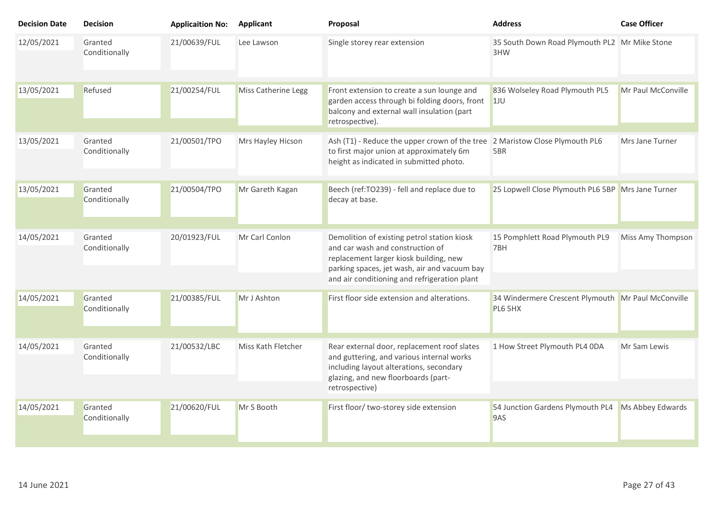| <b>Decision Date</b> | <b>Decision</b>          | <b>Applicaition No:</b> | <b>Applicant</b>    | Proposal                                                                                                                                                                                                                  | <b>Address</b>                                                | <b>Case Officer</b> |
|----------------------|--------------------------|-------------------------|---------------------|---------------------------------------------------------------------------------------------------------------------------------------------------------------------------------------------------------------------------|---------------------------------------------------------------|---------------------|
| 12/05/2021           | Granted<br>Conditionally | 21/00639/FUL            | Lee Lawson          | Single storey rear extension                                                                                                                                                                                              | 35 South Down Road Plymouth PL2 Mr Mike Stone<br>3HW          |                     |
| 13/05/2021           | Refused                  | 21/00254/FUL            | Miss Catherine Legg | Front extension to create a sun lounge and<br>garden access through bi folding doors, front 1JU<br>balcony and external wall insulation (part<br>retrospective).                                                          | 836 Wolseley Road Plymouth PL5                                | Mr Paul McConville  |
| 13/05/2021           | Granted<br>Conditionally | 21/00501/TPO            | Mrs Hayley Hicson   | Ash (T1) - Reduce the upper crown of the tree 2 Maristow Close Plymouth PL6<br>to first major union at approximately 6m<br>height as indicated in submitted photo.                                                        | 5BR                                                           | Mrs Jane Turner     |
| 13/05/2021           | Granted<br>Conditionally | 21/00504/TPO            | Mr Gareth Kagan     | Beech (ref:TO239) - fell and replace due to<br>decay at base.                                                                                                                                                             | 25 Lopwell Close Plymouth PL6 5BP Mrs Jane Turner             |                     |
| 14/05/2021           | Granted<br>Conditionally | 20/01923/FUL            | Mr Carl Conlon      | Demolition of existing petrol station kiosk<br>and car wash and construction of<br>replacement larger kiosk building, new<br>parking spaces, jet wash, air and vacuum bay<br>and air conditioning and refrigeration plant | 15 Pomphlett Road Plymouth PL9<br>7 <sub>BH</sub>             | Miss Amy Thompson   |
| 14/05/2021           | Granted<br>Conditionally | 21/00385/FUL            | Mr J Ashton         | First floor side extension and alterations.                                                                                                                                                                               | 34 Windermere Crescent Plymouth Mr Paul McConville<br>PL6 5HX |                     |
| 14/05/2021           | Granted<br>Conditionally | 21/00532/LBC            | Miss Kath Fletcher  | Rear external door, replacement roof slates<br>and guttering, and various internal works<br>including layout alterations, secondary<br>glazing, and new floorboards (part-<br>retrospective)                              | 1 How Street Plymouth PL4 ODA                                 | Mr Sam Lewis        |
| 14/05/2021           | Granted<br>Conditionally | 21/00620/FUL            | Mr S Booth          | First floor/ two-storey side extension                                                                                                                                                                                    | 54 Junction Gardens Plymouth PL4<br>9AS                       | Ms Abbey Edwards    |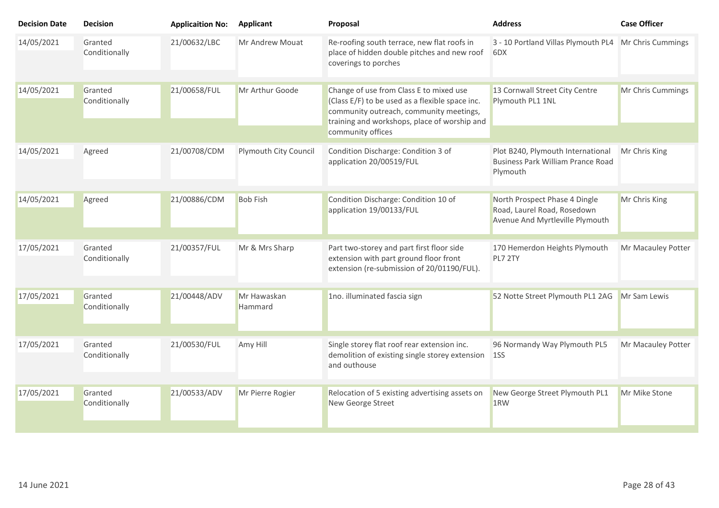| <b>Decision Date</b> | <b>Decision</b>          | <b>Applicaition No:</b>        | <b>Applicant</b>                          | Proposal                                                                                                                                                                              | <b>Address</b>                                                                                  | <b>Case Officer</b> |
|----------------------|--------------------------|--------------------------------|-------------------------------------------|---------------------------------------------------------------------------------------------------------------------------------------------------------------------------------------|-------------------------------------------------------------------------------------------------|---------------------|
| 14/05/2021           | Granted<br>Conditionally | 21/00632/LBC                   | Mr Andrew Mouat                           | Re-roofing south terrace, new flat roofs in<br>place of hidden double pitches and new roof<br>coverings to porches                                                                    | 3 - 10 Portland Villas Plymouth PL4 Mr Chris Cummings<br>6DX                                    |                     |
| 14/05/2021           | Granted<br>Conditionally | 21/00658/FUL                   | Mr Arthur Goode                           | Change of use from Class E to mixed use<br>(Class E/F) to be used as a flexible space inc.<br>community outreach, community meetings,<br>training and workshops, place of worship and | 13 Cornwall Street City Centre<br>Plymouth PL1 1NL                                              | Mr Chris Cummings   |
|                      |                          |                                |                                           | community offices                                                                                                                                                                     |                                                                                                 |                     |
| 14/05/2021           | Agreed                   | 21/00708/CDM                   | Plymouth City Council                     | Condition Discharge: Condition 3 of<br>application 20/00519/FUL                                                                                                                       | Plot B240, Plymouth International<br><b>Business Park William Prance Road</b><br>Plymouth       | Mr Chris King       |
| 14/05/2021           | Agreed                   | 21/00886/CDM                   | <b>Bob Fish</b>                           | Condition Discharge: Condition 10 of<br>application 19/00133/FUL                                                                                                                      | North Prospect Phase 4 Dingle<br>Road, Laurel Road, Rosedown<br>Avenue And Myrtleville Plymouth | Mr Chris King       |
| 17/05/2021           | Granted                  | 21/00357/FUL<br>Mr & Mrs Sharp | Part two-storey and part first floor side | 170 Hemerdon Heights Plymouth                                                                                                                                                         | Mr Macauley Potter                                                                              |                     |
|                      | Conditionally            |                                |                                           | extension with part ground floor front<br>extension (re-submission of 20/01190/FUL).                                                                                                  | PL7 2TY                                                                                         |                     |
| 17/05/2021           | Granted                  | 21/00448/ADV                   | Mr Hawaskan                               | 1no. illuminated fascia sign                                                                                                                                                          | 52 Notte Street Plymouth PL1 2AG                                                                | Mr Sam Lewis        |
|                      | Conditionally            |                                | Hammard                                   |                                                                                                                                                                                       |                                                                                                 |                     |
|                      |                          |                                |                                           |                                                                                                                                                                                       |                                                                                                 |                     |
| 17/05/2021           | Granted<br>Conditionally | 21/00530/FUL                   | Amy Hill                                  | Single storey flat roof rear extension inc.<br>demolition of existing single storey extension<br>and outhouse                                                                         | 96 Normandy Way Plymouth PL5<br>1SS                                                             | Mr Macauley Potter  |
|                      |                          |                                |                                           |                                                                                                                                                                                       |                                                                                                 |                     |
| 17/05/2021           | Granted<br>Conditionally | 21/00533/ADV                   | Mr Pierre Rogier                          | Relocation of 5 existing advertising assets on<br>New George Street                                                                                                                   | New George Street Plymouth PL1<br>1RW                                                           | Mr Mike Stone       |
|                      |                          |                                |                                           |                                                                                                                                                                                       |                                                                                                 |                     |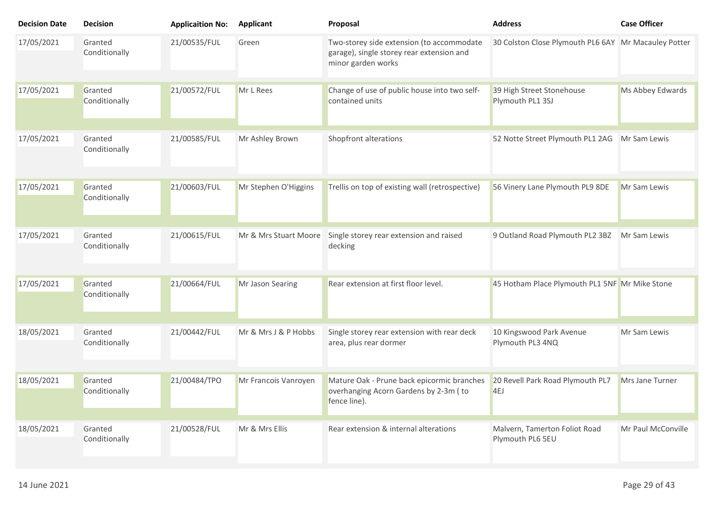| <b>Decision Date</b> | <b>Decision</b>          | <b>Applicaition No:</b> | <b>Applicant</b>      | Proposal                                                                                                     | <b>Address</b>                                       | <b>Case Officer</b> |
|----------------------|--------------------------|-------------------------|-----------------------|--------------------------------------------------------------------------------------------------------------|------------------------------------------------------|---------------------|
| 17/05/2021           | Granted<br>Conditionally | 21/00535/FUL            | Green                 | Two-storey side extension (to accommodate<br>garage), single storey rear extension and<br>minor garden works | 30 Colston Close Plymouth PL6 6AY Mr Macauley Potter |                     |
| 17/05/2021           | Granted<br>Conditionally | 21/00572/FUL            | Mr L Rees             | Change of use of public house into two self-<br>contained units                                              | 39 High Street Stonehouse<br>Plymouth PL1 3SJ        | Ms Abbey Edwards    |
| 17/05/2021           | Granted<br>Conditionally | 21/00585/FUL            | Mr Ashley Brown       | Shopfront alterations                                                                                        | 52 Notte Street Plymouth PL1 2AG                     | Mr Sam Lewis        |
| 17/05/2021           | Granted<br>Conditionally | 21/00603/FUL            | Mr Stephen O'Higgins  | Trellis on top of existing wall (retrospective)                                                              | 56 Vinery Lane Plymouth PL9 8DE                      | Mr Sam Lewis        |
| 17/05/2021           | Granted<br>Conditionally | 21/00615/FUL            | Mr & Mrs Stuart Moore | Single storey rear extension and raised<br>decking                                                           | 9 Outland Road Plymouth PL2 3BZ                      | Mr Sam Lewis        |
| 17/05/2021           | Granted<br>Conditionally | 21/00664/FUL            | Mr Jason Searing      | Rear extension at first floor level.                                                                         | 45 Hotham Place Plymouth PL1 5NF Mr Mike Stone       |                     |
| 18/05/2021           | Granted<br>Conditionally | 21/00442/FUL            | Mr & Mrs J & P Hobbs  | Single storey rear extension with rear deck<br>area, plus rear dormer                                        | 10 Kingswood Park Avenue<br>Plymouth PL3 4NQ         | Mr Sam Lewis        |
| 18/05/2021           | Granted<br>Conditionally | 21/00484/TPO            | Mr Francois Vanroyen  | Mature Oak - Prune back epicormic branches<br>overhanging Acorn Gardens by 2-3m (to<br>fence line).          | 20 Revell Park Road Plymouth PL7<br>4EJ              | Mrs Jane Turner     |
| 18/05/2021           | Granted<br>Conditionally | 21/00528/FUL            | Mr & Mrs Ellis        | Rear extension & internal alterations                                                                        | Malvern, Tamerton Foliot Road<br>Plymouth PL6 5EU    | Mr Paul McConville  |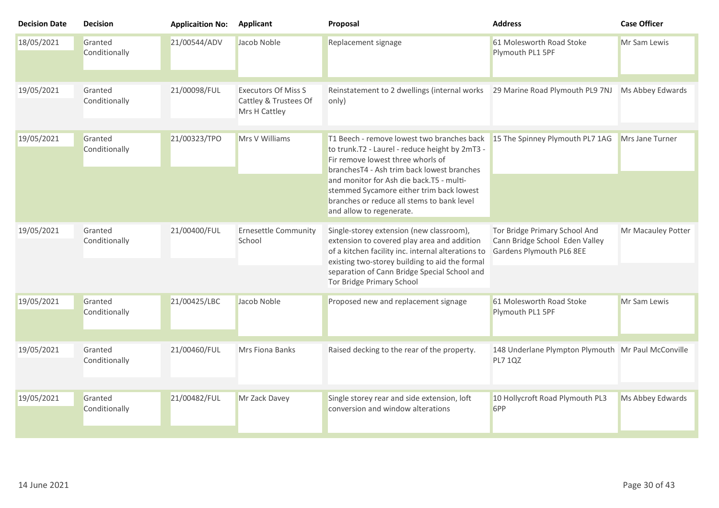| <b>Decision Date</b> | <b>Decision</b>          | <b>Applicaition No:</b> | <b>Applicant</b>                                                     | Proposal                                                                                                                                                                                                                                                                                                                                          | <b>Address</b>                                                                              | <b>Case Officer</b> |
|----------------------|--------------------------|-------------------------|----------------------------------------------------------------------|---------------------------------------------------------------------------------------------------------------------------------------------------------------------------------------------------------------------------------------------------------------------------------------------------------------------------------------------------|---------------------------------------------------------------------------------------------|---------------------|
| 18/05/2021           | Granted<br>Conditionally | 21/00544/ADV            | Jacob Noble                                                          | Replacement signage                                                                                                                                                                                                                                                                                                                               | 61 Molesworth Road Stoke<br>Plymouth PL1 5PF                                                | Mr Sam Lewis        |
| 19/05/2021           | Granted<br>Conditionally | 21/00098/FUL            | <b>Executors Of Miss S</b><br>Cattley & Trustees Of<br>Mrs H Cattley | Reinstatement to 2 dwellings (internal works<br>only)                                                                                                                                                                                                                                                                                             | 29 Marine Road Plymouth PL9 7NJ                                                             | Ms Abbey Edwards    |
| 19/05/2021           | Granted<br>Conditionally | 21/00323/TPO            | Mrs V Williams                                                       | T1 Beech - remove lowest two branches back<br>to trunk.T2 - Laurel - reduce height by 2mT3 -<br>Fir remove lowest three whorls of<br>branchesT4 - Ash trim back lowest branches<br>and monitor for Ash die back.T5 - multi-<br>stemmed Sycamore either trim back lowest<br>branches or reduce all stems to bank level<br>and allow to regenerate. | 15 The Spinney Plymouth PL7 1AG                                                             | Mrs Jane Turner     |
|                      |                          |                         |                                                                      |                                                                                                                                                                                                                                                                                                                                                   |                                                                                             |                     |
| 19/05/2021           | Granted<br>Conditionally | 21/00400/FUL            | <b>Ernesettle Community</b><br>School                                | Single-storey extension (new classroom),<br>extension to covered play area and addition<br>of a kitchen facility inc. internal alterations to<br>existing two-storey building to aid the formal<br>separation of Cann Bridge Special School and<br>Tor Bridge Primary School                                                                      | Tor Bridge Primary School And<br>Cann Bridge School Eden Valley<br>Gardens Plymouth PL6 8EE | Mr Macauley Potter  |
|                      |                          |                         |                                                                      |                                                                                                                                                                                                                                                                                                                                                   |                                                                                             |                     |
| 19/05/2021           | Granted<br>Conditionally | 21/00425/LBC            | Jacob Noble                                                          | Proposed new and replacement signage                                                                                                                                                                                                                                                                                                              | 61 Molesworth Road Stoke<br>Plymouth PL1 5PF                                                | Mr Sam Lewis        |
| 19/05/2021           | Granted<br>Conditionally | 21/00460/FUL            | <b>Mrs Fiona Banks</b>                                               | Raised decking to the rear of the property.                                                                                                                                                                                                                                                                                                       | 148 Underlane Plympton Plymouth Mr Paul McConville<br><b>PL7 1QZ</b>                        |                     |
| 19/05/2021           | Granted<br>Conditionally | 21/00482/FUL            | Mr Zack Davey                                                        | Single storey rear and side extension, loft<br>conversion and window alterations                                                                                                                                                                                                                                                                  | 10 Hollycroft Road Plymouth PL3<br>6PP                                                      | Ms Abbey Edwards    |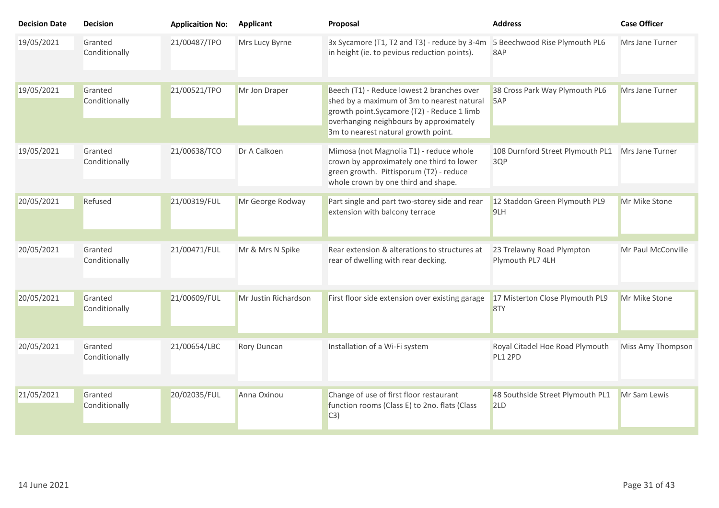| <b>Decision Date</b> | <b>Decision</b>          | <b>Applicaition No:</b> | Applicant            | Proposal                                                                                                                                                                                                                 | <b>Address</b>                                | <b>Case Officer</b> |
|----------------------|--------------------------|-------------------------|----------------------|--------------------------------------------------------------------------------------------------------------------------------------------------------------------------------------------------------------------------|-----------------------------------------------|---------------------|
| 19/05/2021           | Granted<br>Conditionally | 21/00487/TPO            | Mrs Lucy Byrne       | 3x Sycamore (T1, T2 and T3) - reduce by 3-4m<br>in height (ie. to pevious reduction points).                                                                                                                             | 5 Beechwood Rise Plymouth PL6<br>8AP          | Mrs Jane Turner     |
| 19/05/2021           | Granted<br>Conditionally | 21/00521/TPO            | Mr Jon Draper        | Beech (T1) - Reduce lowest 2 branches over<br>shed by a maximum of 3m to nearest natural<br>growth point.Sycamore (T2) - Reduce 1 limb<br>overhanging neighbours by approximately<br>3m to nearest natural growth point. | 38 Cross Park Way Plymouth PL6<br>5AP         | Mrs Jane Turner     |
| 19/05/2021           | Granted<br>Conditionally | 21/00638/TCO            | Dr A Calkoen         | Mimosa (not Magnolia T1) - reduce whole<br>crown by approximately one third to lower<br>green growth. Pittisporum (T2) - reduce<br>whole crown by one third and shape.                                                   | 108 Durnford Street Plymouth PL1<br>3QP       | Mrs Jane Turner     |
| 20/05/2021           | Refused                  | 21/00319/FUL            | Mr George Rodway     | Part single and part two-storey side and rear<br>extension with balcony terrace                                                                                                                                          | 12 Staddon Green Plymouth PL9<br>9LH          | Mr Mike Stone       |
| 20/05/2021           | Granted<br>Conditionally | 21/00471/FUL            | Mr & Mrs N Spike     | Rear extension & alterations to structures at<br>rear of dwelling with rear decking.                                                                                                                                     | 23 Trelawny Road Plympton<br>Plymouth PL7 4LH | Mr Paul McConville  |
| 20/05/2021           | Granted<br>Conditionally | 21/00609/FUL            | Mr Justin Richardson | First floor side extension over existing garage                                                                                                                                                                          | 17 Misterton Close Plymouth PL9<br>8TY        | Mr Mike Stone       |
| 20/05/2021           | Granted<br>Conditionally | 21/00654/LBC            | Rory Duncan          | Installation of a Wi-Fi system                                                                                                                                                                                           | Royal Citadel Hoe Road Plymouth<br>PL1 2PD    | Miss Amy Thompson   |
| 21/05/2021           | Granted<br>Conditionally | 20/02035/FUL            | Anna Oxinou          | Change of use of first floor restaurant<br>function rooms (Class E) to 2no. flats (Class<br>C3)                                                                                                                          | 48 Southside Street Plymouth PL1<br>2LD       | Mr Sam Lewis        |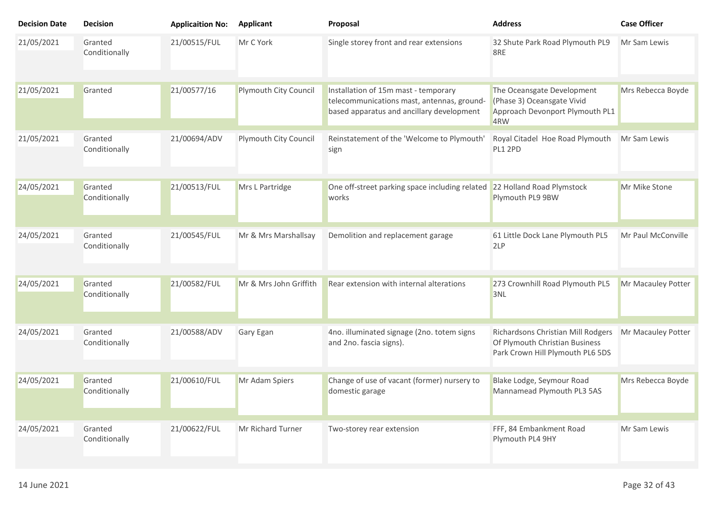| <b>Decision Date</b> | <b>Decision</b>          | <b>Applicaition No:</b> | <b>Applicant</b>       | Proposal                                                                                                                        | <b>Address</b>                                                                                           | <b>Case Officer</b> |
|----------------------|--------------------------|-------------------------|------------------------|---------------------------------------------------------------------------------------------------------------------------------|----------------------------------------------------------------------------------------------------------|---------------------|
| 21/05/2021           | Granted<br>Conditionally | 21/00515/FUL            | Mr C York              | Single storey front and rear extensions                                                                                         | 32 Shute Park Road Plymouth PL9<br>8RE                                                                   | Mr Sam Lewis        |
| 21/05/2021           | Granted                  | 21/00577/16             | Plymouth City Council  | Installation of 15m mast - temporary<br>telecommunications mast, antennas, ground-<br>based apparatus and ancillary development | The Oceansgate Development<br>(Phase 3) Oceansgate Vivid<br>Approach Devonport Plymouth PL1<br>4RW       | Mrs Rebecca Boyde   |
| 21/05/2021           | Granted<br>Conditionally | 21/00694/ADV            | Plymouth City Council  | Reinstatement of the 'Welcome to Plymouth'<br>sign                                                                              | Royal Citadel Hoe Road Plymouth<br>PL1 2PD                                                               | Mr Sam Lewis        |
| 24/05/2021           | Granted<br>Conditionally | 21/00513/FUL            | Mrs L Partridge        | One off-street parking space including related<br>works                                                                         | 22 Holland Road Plymstock<br>Plymouth PL9 9BW                                                            | Mr Mike Stone       |
| 24/05/2021           | Granted<br>Conditionally | 21/00545/FUL            | Mr & Mrs Marshallsay   | Demolition and replacement garage                                                                                               | 61 Little Dock Lane Plymouth PL5<br>2LP                                                                  | Mr Paul McConville  |
| 24/05/2021           | Granted<br>Conditionally | 21/00582/FUL            | Mr & Mrs John Griffith | Rear extension with internal alterations                                                                                        | 273 Crownhill Road Plymouth PL5<br>3NL                                                                   | Mr Macauley Potter  |
| 24/05/2021           | Granted<br>Conditionally | 21/00588/ADV            | Gary Egan              | 4no. illuminated signage (2no. totem signs<br>and 2no. fascia signs).                                                           | Richardsons Christian Mill Rodgers<br>Of Plymouth Christian Business<br>Park Crown Hill Plymouth PL6 5DS | Mr Macauley Potter  |
| 24/05/2021           | Granted<br>Conditionally | 21/00610/FUL            | Mr Adam Spiers         | Change of use of vacant (former) nursery to<br>domestic garage                                                                  | Blake Lodge, Seymour Road<br>Mannamead Plymouth PL3 5AS                                                  | Mrs Rebecca Boyde   |
| 24/05/2021           | Granted<br>Conditionally | 21/00622/FUL            | Mr Richard Turner      | Two-storey rear extension                                                                                                       | FFF, 84 Embankment Road<br>Plymouth PL4 9HY                                                              | Mr Sam Lewis        |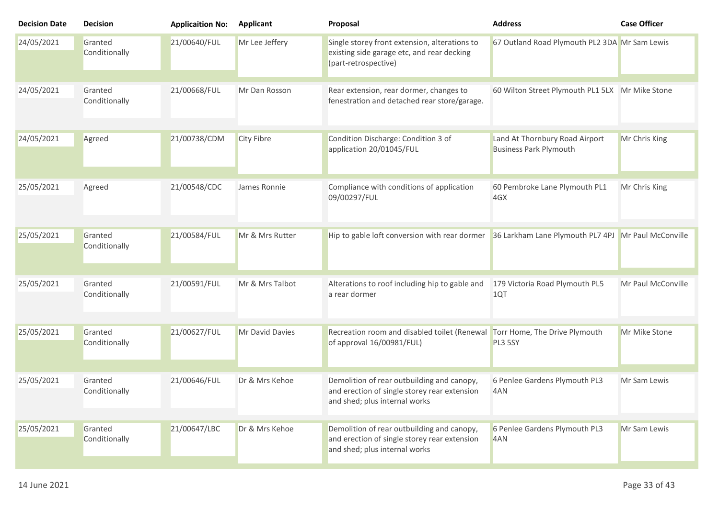| <b>Decision Date</b> | <b>Decision</b>          | <b>Applicaition No:</b> | <b>Applicant</b>  | Proposal                                                                                                                    | <b>Address</b>                                                  | <b>Case Officer</b> |
|----------------------|--------------------------|-------------------------|-------------------|-----------------------------------------------------------------------------------------------------------------------------|-----------------------------------------------------------------|---------------------|
| 24/05/2021           | Granted<br>Conditionally | 21/00640/FUL            | Mr Lee Jeffery    | Single storey front extension, alterations to<br>existing side garage etc, and rear decking<br>(part-retrospective)         | 67 Outland Road Plymouth PL2 3DA Mr Sam Lewis                   |                     |
| 24/05/2021           | Granted<br>Conditionally | 21/00668/FUL            | Mr Dan Rosson     | Rear extension, rear dormer, changes to<br>fenestration and detached rear store/garage.                                     | 60 Wilton Street Plymouth PL1 5LX Mr Mike Stone                 |                     |
| 24/05/2021           | Agreed                   | 21/00738/CDM            | <b>City Fibre</b> | Condition Discharge: Condition 3 of<br>application 20/01045/FUL                                                             | Land At Thornbury Road Airport<br><b>Business Park Plymouth</b> | Mr Chris King       |
| 25/05/2021           | Agreed                   | 21/00548/CDC            | James Ronnie      | Compliance with conditions of application<br>09/00297/FUL                                                                   | 60 Pembroke Lane Plymouth PL1<br>4GX                            | Mr Chris King       |
| 25/05/2021           | Granted<br>Conditionally | 21/00584/FUL            | Mr & Mrs Rutter   | Hip to gable loft conversion with rear dormer                                                                               | 36 Larkham Lane Plymouth PL7 4PJ Mr Paul McConville             |                     |
| 25/05/2021           | Granted<br>Conditionally | 21/00591/FUL            | Mr & Mrs Talbot   | Alterations to roof including hip to gable and<br>a rear dormer                                                             | 179 Victoria Road Plymouth PL5<br>1QT                           | Mr Paul McConville  |
| 25/05/2021           | Granted<br>Conditionally | 21/00627/FUL            | Mr David Davies   | Recreation room and disabled toilet (Renewal<br>of approval 16/00981/FUL)                                                   | Torr Home, The Drive Plymouth<br>PL3 5SY                        | Mr Mike Stone       |
| 25/05/2021           | Granted<br>Conditionally | 21/00646/FUL            | Dr & Mrs Kehoe    | Demolition of rear outbuilding and canopy,<br>and erection of single storey rear extension<br>and shed; plus internal works | 6 Penlee Gardens Plymouth PL3<br>4AN                            | Mr Sam Lewis        |
| 25/05/2021           | Granted<br>Conditionally | 21/00647/LBC            | Dr & Mrs Kehoe    | Demolition of rear outbuilding and canopy,<br>and erection of single storey rear extension<br>and shed; plus internal works | 6 Penlee Gardens Plymouth PL3<br>4AN                            | Mr Sam Lewis        |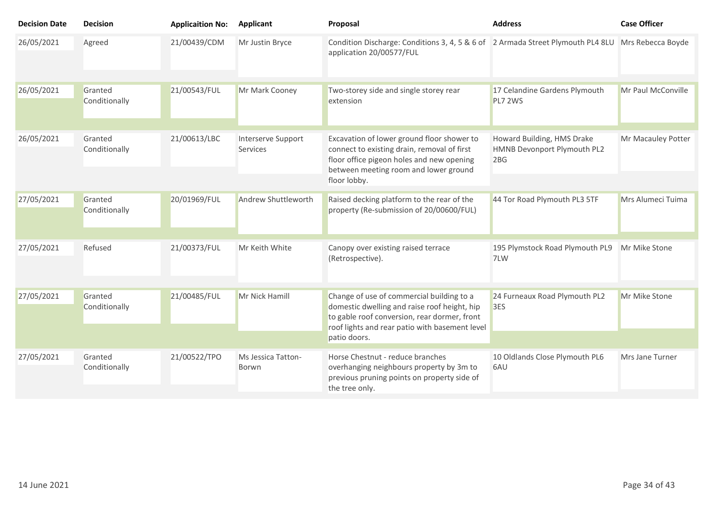| <b>Decision Date</b> | <b>Decision</b>          | <b>Applicaition No:</b> | <b>Applicant</b>               | Proposal                                                                                                                                                                                        | <b>Address</b>                                                               | <b>Case Officer</b> |
|----------------------|--------------------------|-------------------------|--------------------------------|-------------------------------------------------------------------------------------------------------------------------------------------------------------------------------------------------|------------------------------------------------------------------------------|---------------------|
| 26/05/2021           | Agreed                   | 21/00439/CDM            | Mr Justin Bryce                | Condition Discharge: Conditions 3, 4, 5 & 6 of 2 Armada Street Plymouth PL4 8LU Mrs Rebecca Boyde<br>application 20/00577/FUL                                                                   |                                                                              |                     |
| 26/05/2021           | Granted<br>Conditionally | 21/00543/FUL            | Mr Mark Cooney                 | Two-storey side and single storey rear<br>extension                                                                                                                                             | 17 Celandine Gardens Plymouth<br>PL7 2WS                                     | Mr Paul McConville  |
| 26/05/2021           | Granted<br>Conditionally | 21/00613/LBC            | Interserve Support<br>Services | Excavation of lower ground floor shower to<br>connect to existing drain, removal of first<br>floor office pigeon holes and new opening<br>between meeting room and lower ground<br>floor lobby. | Howard Building, HMS Drake<br>HMNB Devonport Plymouth PL2<br>2 <sub>BG</sub> | Mr Macauley Potter  |
| 27/05/2021           | Granted<br>Conditionally | 20/01969/FUL            | <b>Andrew Shuttleworth</b>     | Raised decking platform to the rear of the<br>property (Re-submission of 20/00600/FUL)                                                                                                          | 44 Tor Road Plymouth PL3 5TF                                                 | Mrs Alumeci Tuima   |
| 27/05/2021           | Refused                  | 21/00373/FUL            | Mr Keith White                 | Canopy over existing raised terrace<br>(Retrospective).                                                                                                                                         | 195 Plymstock Road Plymouth PL9<br>7LW                                       | Mr Mike Stone       |
| 27/05/2021           | Granted<br>Conditionally | 21/00485/FUL            | Mr Nick Hamill                 | Change of use of commercial building to a<br>domestic dwelling and raise roof height, hip<br>to gable roof conversion, rear dormer, front<br>roof lights and rear patio with basement level     | 24 Furneaux Road Plymouth PL2<br>3ES                                         | Mr Mike Stone       |
|                      |                          |                         |                                | patio doors.                                                                                                                                                                                    |                                                                              |                     |
| 27/05/2021           | Granted<br>Conditionally | 21/00522/TPO            | Ms Jessica Tatton-<br>Borwn    | Horse Chestnut - reduce branches<br>overhanging neighbours property by 3m to<br>previous pruning points on property side of<br>the tree only.                                                   | 10 Oldlands Close Plymouth PL6<br>6AU                                        | Mrs Jane Turner     |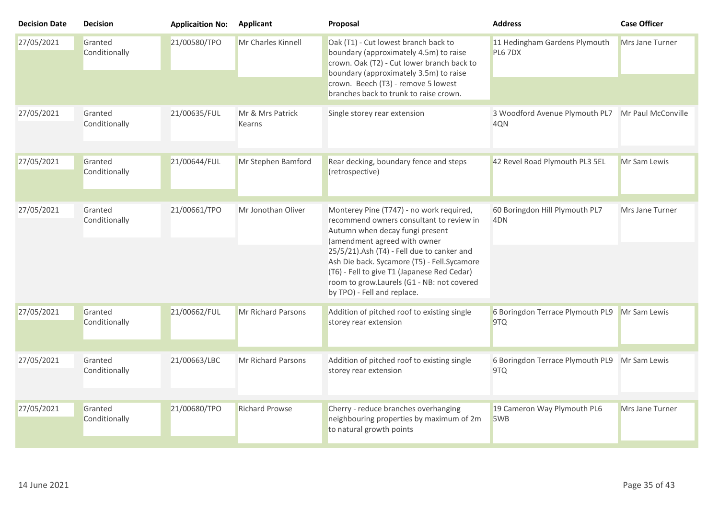| <b>Decision Date</b> | <b>Decision</b>          | <b>Applicaition No:</b> | <b>Applicant</b>           | Proposal                                                                                                                                                                                                                                                                                                                                                                         | <b>Address</b>                                    | <b>Case Officer</b> |
|----------------------|--------------------------|-------------------------|----------------------------|----------------------------------------------------------------------------------------------------------------------------------------------------------------------------------------------------------------------------------------------------------------------------------------------------------------------------------------------------------------------------------|---------------------------------------------------|---------------------|
| 27/05/2021           | Granted<br>Conditionally | 21/00580/TPO            | Mr Charles Kinnell         | Oak (T1) - Cut lowest branch back to<br>boundary (approximately 4.5m) to raise<br>crown. Oak (T2) - Cut lower branch back to<br>boundary (approximately 3.5m) to raise<br>crown. Beech (T3) - remove 5 lowest                                                                                                                                                                    | 11 Hedingham Gardens Plymouth<br>PL6 7DX          | Mrs Jane Turner     |
|                      |                          |                         |                            | branches back to trunk to raise crown.                                                                                                                                                                                                                                                                                                                                           |                                                   |                     |
| 27/05/2021           | Granted<br>Conditionally | 21/00635/FUL            | Mr & Mrs Patrick<br>Kearns | Single storey rear extension                                                                                                                                                                                                                                                                                                                                                     | 3 Woodford Avenue Plymouth PL7<br>4QN             | Mr Paul McConville  |
| 27/05/2021           | Granted<br>Conditionally | 21/00644/FUL            | Mr Stephen Bamford         | Rear decking, boundary fence and steps<br>(retrospective)                                                                                                                                                                                                                                                                                                                        | 42 Revel Road Plymouth PL3 5EL                    | Mr Sam Lewis        |
| 27/05/2021           | Granted<br>Conditionally | 21/00661/TPO            | Mr Jonothan Oliver         | Monterey Pine (T747) - no work required,<br>recommend owners consultant to review in<br>Autumn when decay fungi present<br>(amendment agreed with owner<br>25/5/21).Ash (T4) - Fell due to canker and<br>Ash Die back. Sycamore (T5) - Fell.Sycamore<br>(T6) - Fell to give T1 (Japanese Red Cedar)<br>room to grow.Laurels (G1 - NB: not covered<br>by TPO) - Fell and replace. | 60 Boringdon Hill Plymouth PL7<br>4 <sub>DN</sub> | Mrs Jane Turner     |
|                      |                          |                         |                            |                                                                                                                                                                                                                                                                                                                                                                                  |                                                   |                     |
| 27/05/2021           | Granted<br>Conditionally | 21/00662/FUL            | Mr Richard Parsons         | Addition of pitched roof to existing single<br>storey rear extension                                                                                                                                                                                                                                                                                                             | 6 Boringdon Terrace Plymouth PL9<br>9TQ           | Mr Sam Lewis        |
| 27/05/2021           | Granted<br>Conditionally | 21/00663/LBC            | Mr Richard Parsons         | Addition of pitched roof to existing single<br>storey rear extension                                                                                                                                                                                                                                                                                                             | 6 Boringdon Terrace Plymouth PL9<br>9TQ           | Mr Sam Lewis        |
| 27/05/2021           | Granted<br>Conditionally | 21/00680/TPO            | <b>Richard Prowse</b>      | Cherry - reduce branches overhanging<br>neighbouring properties by maximum of 2m<br>to natural growth points                                                                                                                                                                                                                                                                     | 19 Cameron Way Plymouth PL6<br>5WB                | Mrs Jane Turner     |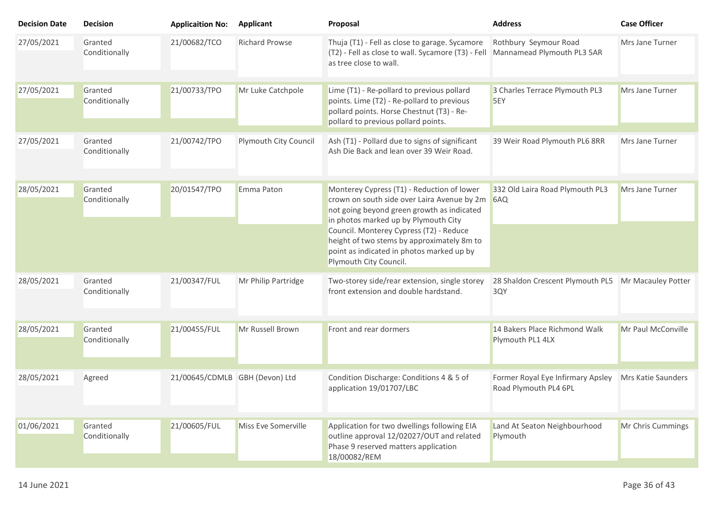| <b>Decision Date</b> | <b>Decision</b>          | <b>Applicaition No:</b>        | <b>Applicant</b>           | Proposal                                                                                                                                                                        | <b>Address</b>                                             | <b>Case Officer</b> |
|----------------------|--------------------------|--------------------------------|----------------------------|---------------------------------------------------------------------------------------------------------------------------------------------------------------------------------|------------------------------------------------------------|---------------------|
| 27/05/2021           | Granted<br>Conditionally | 21/00682/TCO                   | <b>Richard Prowse</b>      | Thuja (T1) - Fell as close to garage. Sycamore<br>(T2) - Fell as close to wall. Sycamore (T3) - Fell<br>as tree close to wall.                                                  | Rothbury Seymour Road<br>Mannamead Plymouth PL3 5AR        | Mrs Jane Turner     |
| 27/05/2021           | Granted<br>Conditionally | 21/00733/TPO                   | Mr Luke Catchpole          | Lime (T1) - Re-pollard to previous pollard<br>points. Lime (T2) - Re-pollard to previous<br>pollard points. Horse Chestnut (T3) - Re-<br>pollard to previous pollard points.    | 3 Charles Terrace Plymouth PL3<br>5EY                      | Mrs Jane Turner     |
| 27/05/2021           | Granted<br>Conditionally | 21/00742/TPO                   | Plymouth City Council      | Ash (T1) - Pollard due to signs of significant<br>Ash Die Back and lean over 39 Weir Road.                                                                                      | 39 Weir Road Plymouth PL6 8RR                              | Mrs Jane Turner     |
| 28/05/2021           | Granted<br>Conditionally | 20/01547/TPO                   | Emma Paton                 | Monterey Cypress (T1) - Reduction of lower<br>crown on south side over Laira Avenue by 2m<br>not going beyond green growth as indicated<br>in photos marked up by Plymouth City | 332 Old Laira Road Plymouth PL3<br>6AQ                     | Mrs Jane Turner     |
|                      |                          |                                |                            | Council. Monterey Cypress (T2) - Reduce<br>height of two stems by approximately 8m to<br>point as indicated in photos marked up by<br>Plymouth City Council.                    |                                                            |                     |
| 28/05/2021           | Granted<br>Conditionally | 21/00347/FUL                   | Mr Philip Partridge        | Two-storey side/rear extension, single storey<br>front extension and double hardstand.                                                                                          | 28 Shaldon Crescent Plymouth PL5<br>3QY                    | Mr Macauley Potter  |
| 28/05/2021           | Granted<br>Conditionally | 21/00455/FUL                   | Mr Russell Brown           | Front and rear dormers                                                                                                                                                          | 14 Bakers Place Richmond Walk<br>Plymouth PL1 4LX          | Mr Paul McConville  |
| 28/05/2021           | Agreed                   | 21/00645/CDMLB GBH (Devon) Ltd |                            | Condition Discharge: Conditions 4 & 5 of<br>application 19/01707/LBC                                                                                                            | Former Royal Eye Infirmary Apsley<br>Road Plymouth PL4 6PL | Mrs Katie Saunders  |
| 01/06/2021           | Granted<br>Conditionally | 21/00605/FUL                   | <b>Miss Eve Somerville</b> | Application for two dwellings following EIA<br>outline approval 12/02027/OUT and related<br>Phase 9 reserved matters application<br>18/00082/REM                                | Land At Seaton Neighbourhood<br>Plymouth                   | Mr Chris Cummings   |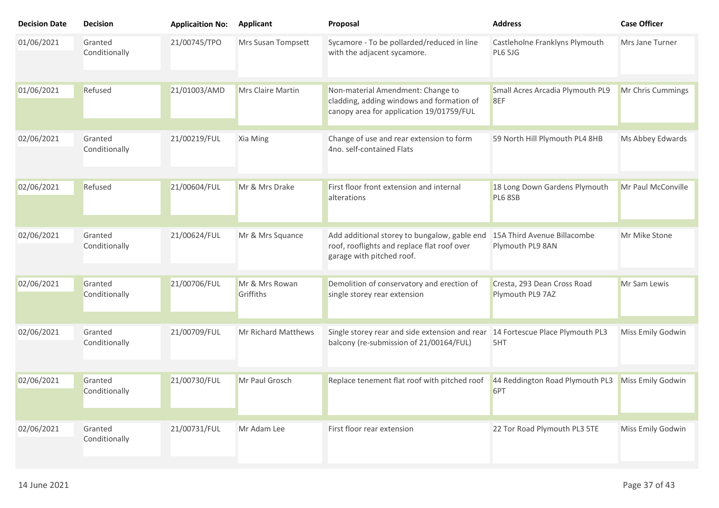| <b>Decision Date</b> | <b>Decision</b>          | <b>Applicaition No:</b> | Applicant                   | Proposal                                                                                                                   | <b>Address</b>                                  | <b>Case Officer</b> |
|----------------------|--------------------------|-------------------------|-----------------------------|----------------------------------------------------------------------------------------------------------------------------|-------------------------------------------------|---------------------|
| 01/06/2021           | Granted<br>Conditionally | 21/00745/TPO            | Mrs Susan Tompsett          | Sycamore - To be pollarded/reduced in line<br>with the adjacent sycamore.                                                  | Castleholne Franklyns Plymouth<br>PL6 5JG       | Mrs Jane Turner     |
| 01/06/2021           | Refused                  | 21/01003/AMD            | Mrs Claire Martin           | Non-material Amendment: Change to<br>cladding, adding windows and formation of<br>canopy area for application 19/01759/FUL | Small Acres Arcadia Plymouth PL9<br>8EF         | Mr Chris Cummings   |
| 02/06/2021           | Granted<br>Conditionally | 21/00219/FUL            | Xia Ming                    | Change of use and rear extension to form<br>4no. self-contained Flats                                                      | 59 North Hill Plymouth PL4 8HB                  | Ms Abbey Edwards    |
| 02/06/2021           | Refused                  | 21/00604/FUL            | Mr & Mrs Drake              | First floor front extension and internal<br>alterations                                                                    | 18 Long Down Gardens Plymouth<br>PL6 8SB        | Mr Paul McConville  |
| 02/06/2021           | Granted<br>Conditionally | 21/00624/FUL            | Mr & Mrs Squance            | Add additional storey to bungalow, gable end<br>roof, rooflights and replace flat roof over<br>garage with pitched roof.   | 15A Third Avenue Billacombe<br>Plymouth PL9 8AN | Mr Mike Stone       |
| 02/06/2021           | Granted<br>Conditionally | 21/00706/FUL            | Mr & Mrs Rowan<br>Griffiths | Demolition of conservatory and erection of<br>single storey rear extension                                                 | Cresta, 293 Dean Cross Road<br>Plymouth PL9 7AZ | Mr Sam Lewis        |
| 02/06/2021           | Granted<br>Conditionally | 21/00709/FUL            | Mr Richard Matthews         | Single storey rear and side extension and rear 14 Fortescue Place Plymouth PL3<br>balcony (re-submission of 21/00164/FUL)  | 5HT                                             | Miss Emily Godwin   |
| 02/06/2021           | Granted<br>Conditionally | 21/00730/FUL            | Mr Paul Grosch              | Replace tenement flat roof with pitched roof                                                                               | 44 Reddington Road Plymouth PL3<br>6PT          | Miss Emily Godwin   |
| 02/06/2021           | Granted<br>Conditionally | 21/00731/FUL            | Mr Adam Lee                 | First floor rear extension                                                                                                 | 22 Tor Road Plymouth PL3 5TE                    | Miss Emily Godwin   |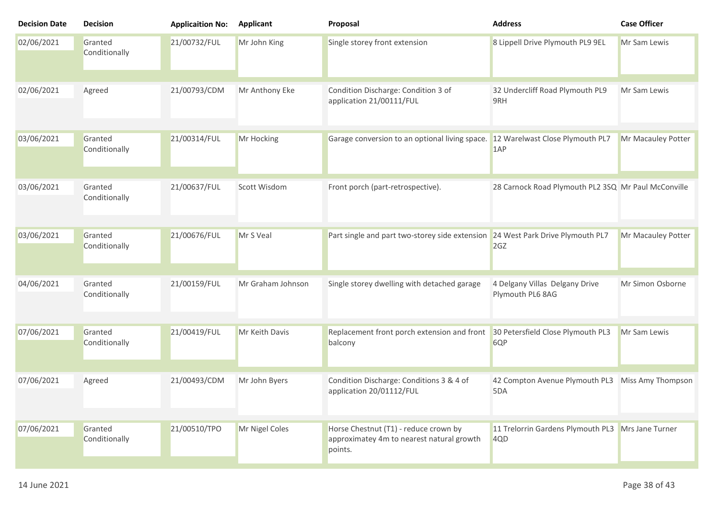| <b>Decision Date</b> | <b>Decision</b>          | <b>Applicaition No:</b> | <b>Applicant</b>  | Proposal                                                                                      | <b>Address</b>                                           | <b>Case Officer</b> |
|----------------------|--------------------------|-------------------------|-------------------|-----------------------------------------------------------------------------------------------|----------------------------------------------------------|---------------------|
| 02/06/2021           | Granted<br>Conditionally | 21/00732/FUL            | Mr John King      | Single storey front extension                                                                 | 8 Lippell Drive Plymouth PL9 9EL                         | Mr Sam Lewis        |
| 02/06/2021           | Agreed                   | 21/00793/CDM            | Mr Anthony Eke    | Condition Discharge: Condition 3 of<br>application 21/00111/FUL                               | 32 Undercliff Road Plymouth PL9<br>9RH                   | Mr Sam Lewis        |
| 03/06/2021           | Granted<br>Conditionally | 21/00314/FUL            | Mr Hocking        | Garage conversion to an optional living space.                                                | 12 Warelwast Close Plymouth PL7<br>1AP                   | Mr Macauley Potter  |
| 03/06/2021           | Granted<br>Conditionally | 21/00637/FUL            | Scott Wisdom      | Front porch (part-retrospective).                                                             | 28 Carnock Road Plymouth PL2 3SQ Mr Paul McConville      |                     |
| 03/06/2021           | Granted<br>Conditionally | 21/00676/FUL            | Mr S Veal         | Part single and part two-storey side extension 24 West Park Drive Plymouth PL7                | 2GZ                                                      | Mr Macauley Potter  |
| 04/06/2021           | Granted<br>Conditionally | 21/00159/FUL            | Mr Graham Johnson | Single storey dwelling with detached garage                                                   | 4 Delgany Villas Delgany Drive<br>Plymouth PL6 8AG       | Mr Simon Osborne    |
| 07/06/2021           | Granted<br>Conditionally | 21/00419/FUL            | Mr Keith Davis    | Replacement front porch extension and front<br>balcony                                        | 30 Petersfield Close Plymouth PL3<br>6QP                 | Mr Sam Lewis        |
| 07/06/2021           | Agreed                   | 21/00493/CDM            | Mr John Byers     | Condition Discharge: Conditions 3 & 4 of<br>application 20/01112/FUL                          | 42 Compton Avenue Plymouth PL3<br>5DA                    | Miss Amy Thompson   |
| 07/06/2021           | Granted<br>Conditionally | 21/00510/TPO            | Mr Nigel Coles    | Horse Chestnut (T1) - reduce crown by<br>approximatey 4m to nearest natural growth<br>points. | 11 Trelorrin Gardens Plymouth PL3 Mrs Jane Turner<br>4QD |                     |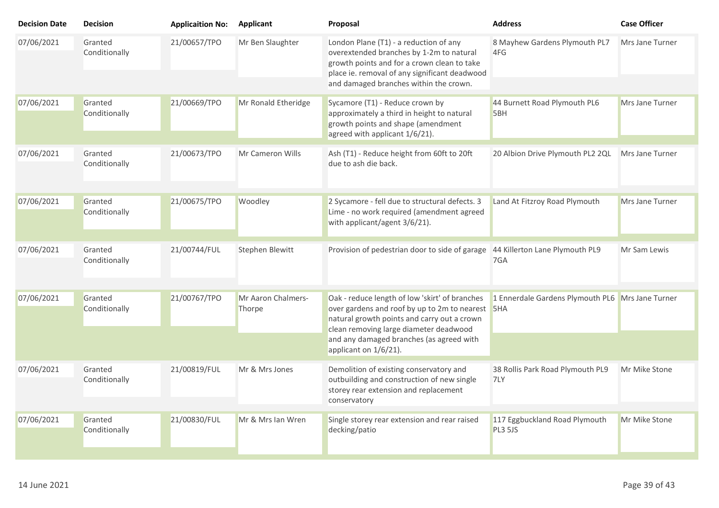| <b>Decision Date</b> | <b>Decision</b>          | <b>Applicaition No:</b> | <b>Applicant</b>             | Proposal                                                                                                                                                                                                                                                         | <b>Address</b>                                   | <b>Case Officer</b>    |
|----------------------|--------------------------|-------------------------|------------------------------|------------------------------------------------------------------------------------------------------------------------------------------------------------------------------------------------------------------------------------------------------------------|--------------------------------------------------|------------------------|
| 07/06/2021           | Granted<br>Conditionally | 21/00657/TPO            | Mr Ben Slaughter             | London Plane (T1) - a reduction of any<br>overextended branches by 1-2m to natural<br>growth points and for a crown clean to take<br>place ie. removal of any significant deadwood<br>and damaged branches within the crown.                                     | 8 Mayhew Gardens Plymouth PL7<br>4FG             | Mrs Jane Turner        |
| 07/06/2021           | Granted<br>Conditionally | 21/00669/TPO            | Mr Ronald Etheridge          | Sycamore (T1) - Reduce crown by<br>approximately a third in height to natural<br>growth points and shape (amendment<br>agreed with applicant 1/6/21).                                                                                                            | 44 Burnett Road Plymouth PL6<br>5BH              | <b>Mrs Jane Turner</b> |
| 07/06/2021           | Granted<br>Conditionally | 21/00673/TPO            | Mr Cameron Wills             | Ash (T1) - Reduce height from 60ft to 20ft<br>due to ash die back.                                                                                                                                                                                               | 20 Albion Drive Plymouth PL2 2QL                 | Mrs Jane Turner        |
| 07/06/2021           | Granted<br>Conditionally | 21/00675/TPO            | Woodley                      | 2 Sycamore - fell due to structural defects. 3<br>Lime - no work required (amendment agreed<br>with applicant/agent 3/6/21).                                                                                                                                     | Land At Fitzroy Road Plymouth                    | Mrs Jane Turner        |
| 07/06/2021           | Granted<br>Conditionally | 21/00744/FUL            | Stephen Blewitt              | Provision of pedestrian door to side of garage                                                                                                                                                                                                                   | 44 Killerton Lane Plymouth PL9<br>7GA            | Mr Sam Lewis           |
| 07/06/2021           | Granted<br>Conditionally | 21/00767/TPO            | Mr Aaron Chalmers-<br>Thorpe | Oak - reduce length of low 'skirt' of branches<br>over gardens and roof by up to 2m to nearest 5HA<br>natural growth points and carry out a crown<br>clean removing large diameter deadwood<br>and any damaged branches (as agreed with<br>applicant on 1/6/21). | 1 Ennerdale Gardens Plymouth PL6 Mrs Jane Turner |                        |
| 07/06/2021           | Granted<br>Conditionally | 21/00819/FUL            | Mr & Mrs Jones               | Demolition of existing conservatory and<br>outbuilding and construction of new single<br>storey rear extension and replacement<br>conservatory                                                                                                                   | 38 Rollis Park Road Plymouth PL9<br>7LY          | Mr Mike Stone          |
| 07/06/2021           | Granted<br>Conditionally | 21/00830/FUL            | Mr & Mrs Ian Wren            | Single storey rear extension and rear raised<br>decking/patio                                                                                                                                                                                                    | 117 Eggbuckland Road Plymouth<br><b>PL3 5JS</b>  | Mr Mike Stone          |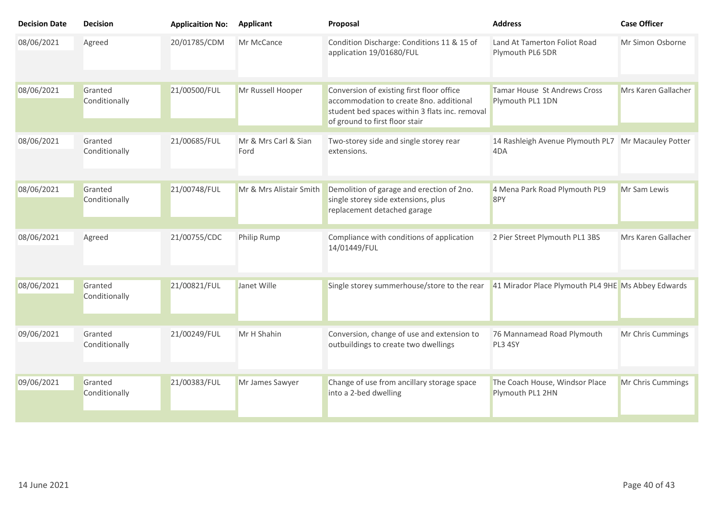| <b>Decision Date</b> | <b>Decision</b>          | <b>Applicaition No:</b> | <b>Applicant</b>             | Proposal                                                                                                                    | <b>Address</b>                                             | <b>Case Officer</b> |
|----------------------|--------------------------|-------------------------|------------------------------|-----------------------------------------------------------------------------------------------------------------------------|------------------------------------------------------------|---------------------|
| 08/06/2021           | Agreed                   | 20/01785/CDM            | Mr McCance                   | Condition Discharge: Conditions 11 & 15 of<br>application 19/01680/FUL                                                      | Land At Tamerton Foliot Road<br>Plymouth PL6 5DR           | Mr Simon Osborne    |
| 08/06/2021           | Granted                  | 21/00500/FUL            | Mr Russell Hooper            | Conversion of existing first floor office                                                                                   | Tamar House St Andrews Cross                               | Mrs Karen Gallacher |
|                      | Conditionally            |                         |                              | accommodation to create 8no. additional<br>student bed spaces within 3 flats inc. removal<br>of ground to first floor stair | Plymouth PL1 1DN                                           |                     |
| 08/06/2021           | Granted<br>Conditionally | 21/00685/FUL            | Mr & Mrs Carl & Sian<br>Ford | Two-storey side and single storey rear<br>extensions.                                                                       | 14 Rashleigh Avenue Plymouth PL7 Mr Macauley Potter<br>4DA |                     |
| 08/06/2021           | Granted<br>Conditionally | 21/00748/FUL            | Mr & Mrs Alistair Smith      | Demolition of garage and erection of 2no.<br>single storey side extensions, plus<br>replacement detached garage             | 4 Mena Park Road Plymouth PL9<br>8PY                       | Mr Sam Lewis        |
| 08/06/2021           | Agreed                   | 21/00755/CDC            | Philip Rump                  | Compliance with conditions of application<br>14/01449/FUL                                                                   | 2 Pier Street Plymouth PL1 3BS                             | Mrs Karen Gallacher |
| 08/06/2021           | Granted<br>Conditionally | 21/00821/FUL            | Janet Wille                  | Single storey summerhouse/store to the rear                                                                                 | 41 Mirador Place Plymouth PL4 9HE Ms Abbey Edwards         |                     |
| 09/06/2021           | Granted<br>Conditionally | 21/00249/FUL            | Mr H Shahin                  | Conversion, change of use and extension to<br>outbuildings to create two dwellings                                          | 76 Mannamead Road Plymouth<br>PL3 4SY                      | Mr Chris Cummings   |
| 09/06/2021           | Granted<br>Conditionally | 21/00383/FUL            | Mr James Sawyer              | Change of use from ancillary storage space<br>into a 2-bed dwelling                                                         | The Coach House, Windsor Place<br>Plymouth PL1 2HN         | Mr Chris Cummings   |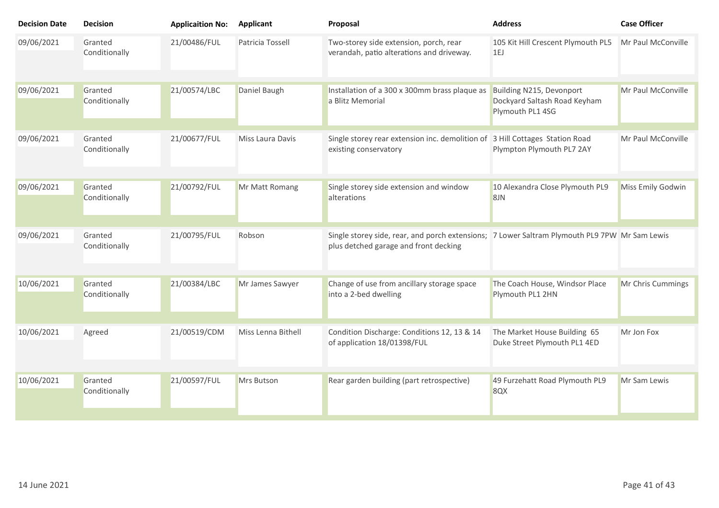| <b>Decision Date</b> | <b>Decision</b>          | <b>Applicaition No:</b> | <b>Applicant</b>   | Proposal                                                                                                                               | <b>Address</b>                                                               | <b>Case Officer</b> |
|----------------------|--------------------------|-------------------------|--------------------|----------------------------------------------------------------------------------------------------------------------------------------|------------------------------------------------------------------------------|---------------------|
| 09/06/2021           | Granted<br>Conditionally | 21/00486/FUL            | Patricia Tossell   | Two-storey side extension, porch, rear<br>verandah, patio alterations and driveway.                                                    | 105 Kit Hill Crescent Plymouth PL5<br>1EJ                                    | Mr Paul McConville  |
| 09/06/2021           | Granted<br>Conditionally | 21/00574/LBC            | Daniel Baugh       | Installation of a 300 x 300mm brass plaque as<br>a Blitz Memorial                                                                      | Building N215, Devonport<br>Dockyard Saltash Road Keyham<br>Plymouth PL1 4SG | Mr Paul McConville  |
| 09/06/2021           | Granted<br>Conditionally | 21/00677/FUL            | Miss Laura Davis   | Single storey rear extension inc. demolition of 3 Hill Cottages Station Road<br>existing conservatory                                  | Plympton Plymouth PL7 2AY                                                    | Mr Paul McConville  |
| 09/06/2021           | Granted<br>Conditionally | 21/00792/FUL            | Mr Matt Romang     | Single storey side extension and window<br>alterations                                                                                 | 10 Alexandra Close Plymouth PL9<br>8JN                                       | Miss Emily Godwin   |
| 09/06/2021           | Granted<br>Conditionally | 21/00795/FUL            | Robson             | Single storey side, rear, and porch extensions; 7 Lower Saltram Plymouth PL9 7PW Mr Sam Lewis<br>plus detched garage and front decking |                                                                              |                     |
| 10/06/2021           | Granted<br>Conditionally | 21/00384/LBC            | Mr James Sawyer    | Change of use from ancillary storage space<br>into a 2-bed dwelling                                                                    | The Coach House, Windsor Place<br>Plymouth PL1 2HN                           | Mr Chris Cummings   |
| 10/06/2021           | Agreed                   | 21/00519/CDM            | Miss Lenna Bithell | Condition Discharge: Conditions 12, 13 & 14<br>of application 18/01398/FUL                                                             | The Market House Building 65<br>Duke Street Plymouth PL1 4ED                 | Mr Jon Fox          |
| 10/06/2021           | Granted<br>Conditionally | 21/00597/FUL            | Mrs Butson         | Rear garden building (part retrospective)                                                                                              | 49 Furzehatt Road Plymouth PL9<br>8QX                                        | Mr Sam Lewis        |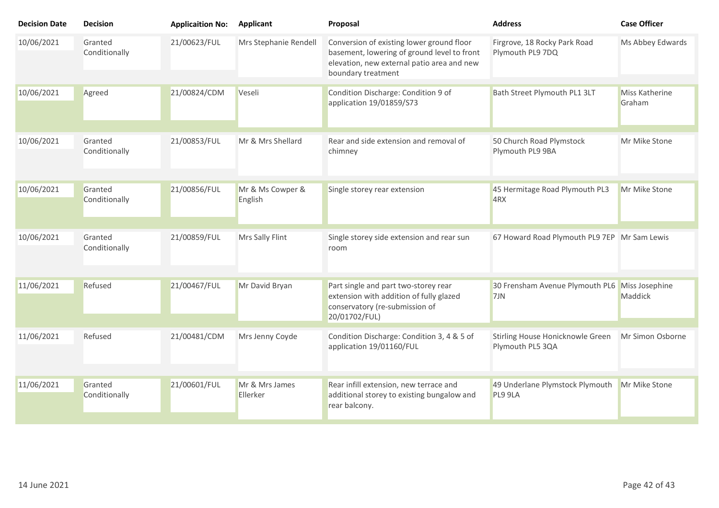| <b>Decision Date</b> | <b>Decision</b>          | <b>Applicaition No:</b> | <b>Applicant</b>            | Proposal                                                                                                                                                     | <b>Address</b>                                       | <b>Case Officer</b>             |
|----------------------|--------------------------|-------------------------|-----------------------------|--------------------------------------------------------------------------------------------------------------------------------------------------------------|------------------------------------------------------|---------------------------------|
| 10/06/2021           | Granted<br>Conditionally | 21/00623/FUL            | Mrs Stephanie Rendell       | Conversion of existing lower ground floor<br>basement, lowering of ground level to front<br>elevation, new external patio area and new<br>boundary treatment | Firgrove, 18 Rocky Park Road<br>Plymouth PL9 7DQ     | Ms Abbey Edwards                |
| 10/06/2021           | Agreed                   | 21/00824/CDM            | Veseli                      | Condition Discharge: Condition 9 of<br>application 19/01859/S73                                                                                              | Bath Street Plymouth PL1 3LT                         | <b>Miss Katherine</b><br>Graham |
| 10/06/2021           | Granted<br>Conditionally | 21/00853/FUL            | Mr & Mrs Shellard           | Rear and side extension and removal of<br>chimney                                                                                                            | 50 Church Road Plymstock<br>Plymouth PL9 9BA         | Mr Mike Stone                   |
| 10/06/2021           | Granted<br>Conditionally | 21/00856/FUL            | Mr & Ms Cowper &<br>English | Single storey rear extension                                                                                                                                 | 45 Hermitage Road Plymouth PL3<br>4RX                | Mr Mike Stone                   |
| 10/06/2021           | Granted<br>Conditionally | 21/00859/FUL            | Mrs Sally Flint             | Single storey side extension and rear sun<br>room                                                                                                            | 67 Howard Road Plymouth PL9 7EP Mr Sam Lewis         |                                 |
| 11/06/2021           | Refused                  | 21/00467/FUL            | Mr David Bryan              | Part single and part two-storey rear<br>extension with addition of fully glazed<br>conservatory (re-submission of<br>20/01702/FUL)                           | 30 Frensham Avenue Plymouth PL6<br>7JN               | Miss Josephine<br>Maddick       |
| 11/06/2021           | Refused                  | 21/00481/CDM            | Mrs Jenny Coyde             | Condition Discharge: Condition 3, 4 & 5 of<br>application 19/01160/FUL                                                                                       | Stirling House Honicknowle Green<br>Plymouth PL5 3QA | Mr Simon Osborne                |
| 11/06/2021           | Granted<br>Conditionally | 21/00601/FUL            | Mr & Mrs James<br>Ellerker  | Rear infill extension, new terrace and<br>additional storey to existing bungalow and<br>rear balcony.                                                        | 49 Underlane Plymstock Plymouth<br>PL9 9LA           | Mr Mike Stone                   |